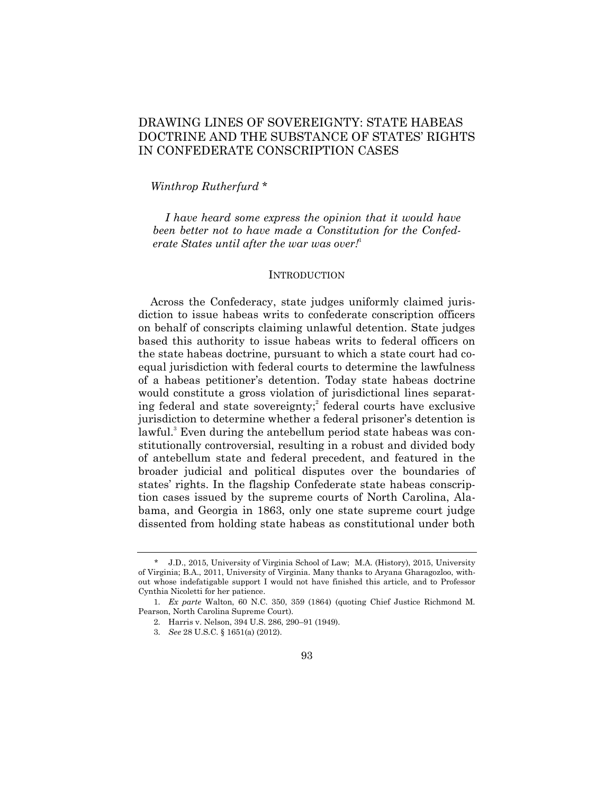# DRAWING LINES OF SOVEREIGNTY: STATE HABEAS DOCTRINE AND THE SUBSTANCE OF STATES' RIGHTS IN CONFEDERATE CONSCRIPTION CASES

## *Winthrop Rutherfurd* \*

*I have heard some express the opinion that it would have been better not to have made a Constitution for the Confederate States until after the war was over!*<sup>1</sup>

## **INTRODUCTION**

Across the Confederacy, state judges uniformly claimed jurisdiction to issue habeas writs to confederate conscription officers on behalf of conscripts claiming unlawful detention. State judges based this authority to issue habeas writs to federal officers on the state habeas doctrine, pursuant to which a state court had coequal jurisdiction with federal courts to determine the lawfulness of a habeas petitioner's detention. Today state habeas doctrine would constitute a gross violation of jurisdictional lines separating federal and state sovereignty; 2 federal courts have exclusive jurisdiction to determine whether a federal prisoner's detention is lawful. <sup>3</sup> Even during the antebellum period state habeas was constitutionally controversial, resulting in a robust and divided body of antebellum state and federal precedent, and featured in the broader judicial and political disputes over the boundaries of states' rights. In the flagship Confederate state habeas conscription cases issued by the supreme courts of North Carolina, Alabama, and Georgia in 1863, only one state supreme court judge dissented from holding state habeas as constitutional under both

<sup>\*</sup> J.D., 2015, University of Virginia School of Law; M.A. (History), 2015, University of Virginia; B.A., 2011, University of Virginia. Many thanks to Aryana Gharagozloo, without whose indefatigable support I would not have finished this article, and to Professor Cynthia Nicoletti for her patience.

<sup>1.</sup> *Ex parte* Walton, 60 N.C. 350, 359 (1864) (quoting Chief Justice Richmond M. Pearson, North Carolina Supreme Court).

<sup>2.</sup> Harris v. Nelson, 394 U.S. 286, 290–91 (1949).

<sup>3.</sup> *See* 28 U.S.C. § 1651(a) (2012).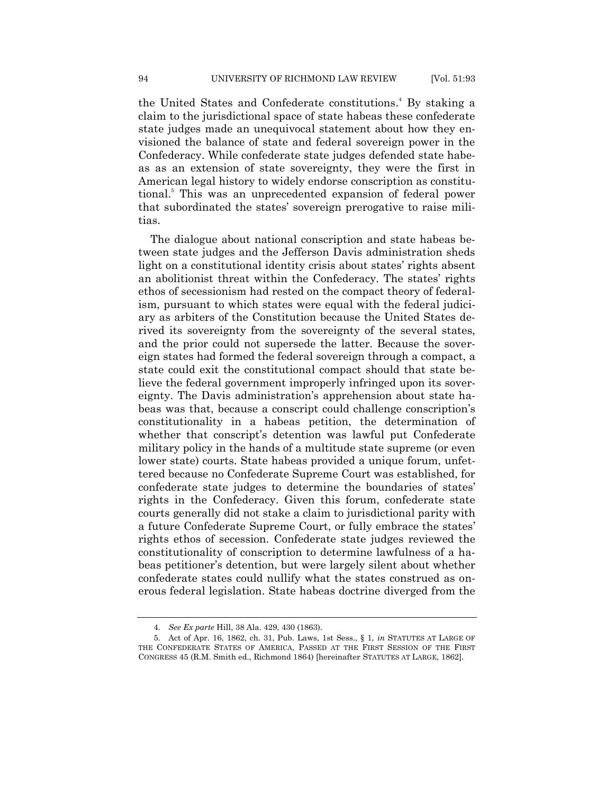the United States and Confederate constitutions. <sup>4</sup> By staking a claim to the jurisdictional space of state habeas these confederate state judges made an unequivocal statement about how they envisioned the balance of state and federal sovereign power in the Confederacy. While confederate state judges defended state habeas as an extension of state sovereignty, they were the first in American legal history to widely endorse conscription as constitutional. <sup>5</sup> This was an unprecedented expansion of federal power that subordinated the states' sovereign prerogative to raise militias.

The dialogue about national conscription and state habeas between state judges and the Jefferson Davis administration sheds light on a constitutional identity crisis about states' rights absent an abolitionist threat within the Confederacy. The states' rights ethos of secessionism had rested on the compact theory of federalism, pursuant to which states were equal with the federal judiciary as arbiters of the Constitution because the United States derived its sovereignty from the sovereignty of the several states, and the prior could not supersede the latter. Because the sovereign states had formed the federal sovereign through a compact, a state could exit the constitutional compact should that state believe the federal government improperly infringed upon its sovereignty. The Davis administration's apprehension about state habeas was that, because a conscript could challenge conscription's constitutionality in a habeas petition, the determination of whether that conscript's detention was lawful put Confederate military policy in the hands of a multitude state supreme (or even lower state) courts. State habeas provided a unique forum, unfettered because no Confederate Supreme Court was established, for confederate state judges to determine the boundaries of states' rights in the Confederacy. Given this forum, confederate state courts generally did not stake a claim to jurisdictional parity with a future Confederate Supreme Court, or fully embrace the states' rights ethos of secession. Confederate state judges reviewed the constitutionality of conscription to determine lawfulness of a habeas petitioner's detention, but were largely silent about whether confederate states could nullify what the states construed as onerous federal legislation. State habeas doctrine diverged from the

<sup>4.</sup> *See Ex parte* Hill, 38 Ala. 429, 430 (1863).

<sup>5.</sup> Act of Apr. 16, 1862, ch. 31, Pub. Laws, 1st Sess., § 1, *in* STATUTES AT LARGE OF THE CONFEDERATE STATES OF AMERICA, PASSED AT THE FIRST SESSION OF THE FIRST CONGRESS 45 (R.M. Smith ed., Richmond 1864) [hereinafter STATUTES AT LARGE, 1862].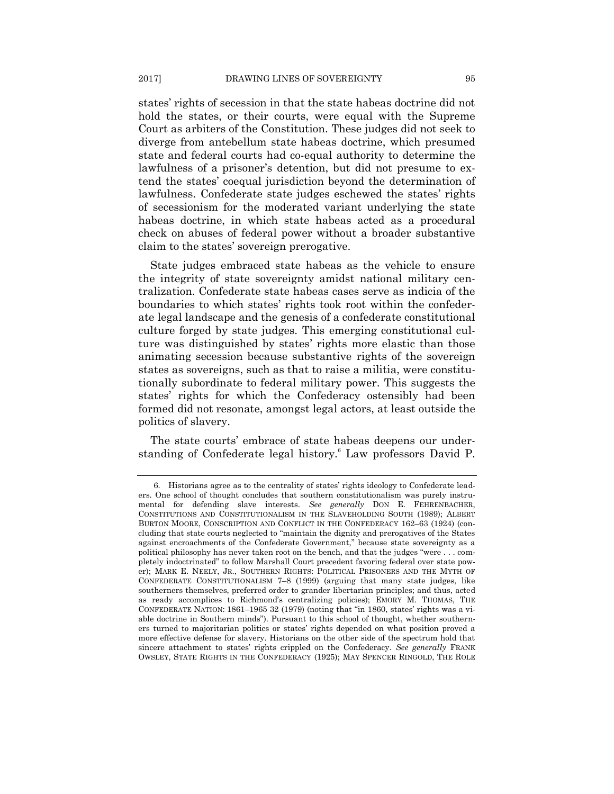states' rights of secession in that the state habeas doctrine did not hold the states, or their courts, were equal with the Supreme Court as arbiters of the Constitution. These judges did not seek to diverge from antebellum state habeas doctrine, which presumed state and federal courts had co-equal authority to determine the lawfulness of a prisoner's detention, but did not presume to extend the states' coequal jurisdiction beyond the determination of lawfulness. Confederate state judges eschewed the states' rights of secessionism for the moderated variant underlying the state habeas doctrine, in which state habeas acted as a procedural check on abuses of federal power without a broader substantive claim to the states' sovereign prerogative.

State judges embraced state habeas as the vehicle to ensure the integrity of state sovereignty amidst national military centralization. Confederate state habeas cases serve as indicia of the boundaries to which states' rights took root within the confederate legal landscape and the genesis of a confederate constitutional culture forged by state judges. This emerging constitutional culture was distinguished by states' rights more elastic than those animating secession because substantive rights of the sovereign states as sovereigns, such as that to raise a militia, were constitutionally subordinate to federal military power. This suggests the states' rights for which the Confederacy ostensibly had been formed did not resonate, amongst legal actors, at least outside the politics of slavery.

The state courts' embrace of state habeas deepens our understanding of Confederate legal history.<sup>6</sup> Law professors David P.

<sup>6.</sup> Historians agree as to the centrality of states' rights ideology to Confederate leaders. One school of thought concludes that southern constitutionalism was purely instrumental for defending slave interests. *See generally* DON E. FEHRENBACHER, CONSTITUTIONS AND CONSTITUTIONALISM IN THE SLAVEHOLDING SOUTH (1989); ALBERT BURTON MOORE, CONSCRIPTION AND CONFLICT IN THE CONFEDERACY 162–63 (1924) (concluding that state courts neglected to "maintain the dignity and prerogatives of the States against encroachments of the Confederate Government," because state sovereignty as a political philosophy has never taken root on the bench, and that the judges "were . . . completely indoctrinated" to follow Marshall Court precedent favoring federal over state power); MARK E. NEELY, JR., SOUTHERN RIGHTS: POLITICAL PRISONERS AND THE MYTH OF CONFEDERATE CONSTITUTIONALISM 7–8 (1999) (arguing that many state judges, like southerners themselves, preferred order to grander libertarian principles; and thus, acted as ready accomplices to Richmond's centralizing policies); EMORY M. THOMAS, THE CONFEDERATE NATION:  $1861-1965$  32 (1979) (noting that "in 1860, states' rights was a viable doctrine in Southern minds"). Pursuant to this school of thought, whether southerners turned to majoritarian politics or states' rights depended on what position proved a more effective defense for slavery. Historians on the other side of the spectrum hold that sincere attachment to states' rights crippled on the Confederacy. *See generally* FRANK OWSLEY, STATE RIGHTS IN THE CONFEDERACY (1925); MAY SPENCER RINGOLD, THE ROLE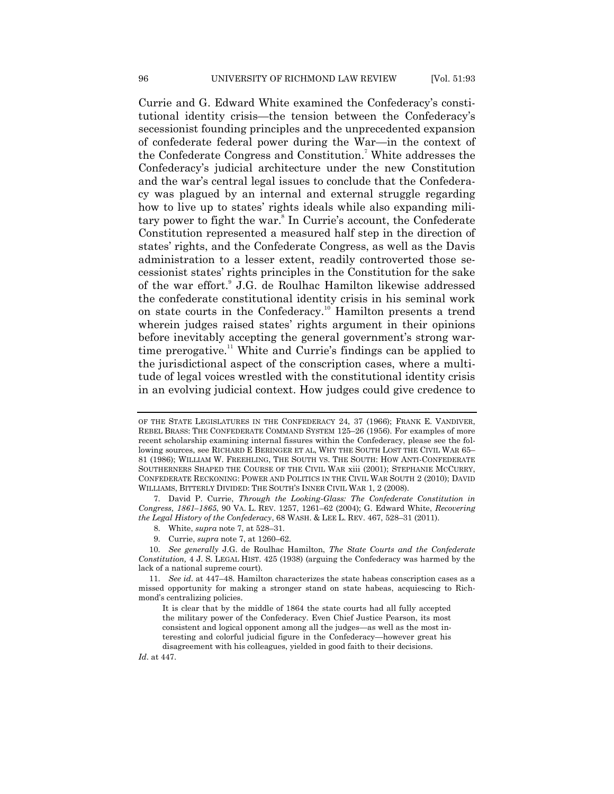Currie and G. Edward White examined the Confederacy's constitutional identity crisis—the tension between the Confederacy's secessionist founding principles and the unprecedented expansion of confederate federal power during the War—in the context of the Confederate Congress and Constitution. <sup>7</sup> White addresses the Confederacy's judicial architecture under the new Constitution and the war's central legal issues to conclude that the Confederacy was plagued by an internal and external struggle regarding how to live up to states' rights ideals while also expanding military power to fight the war. 8 In Currie's account, the Confederate Constitution represented a measured half step in the direction of states' rights, and the Confederate Congress, as well as the Davis administration to a lesser extent, readily controverted those secessionist states' rights principles in the Constitution for the sake of the war effort.<sup>9</sup> J.G. de Roulhac Hamilton likewise addressed the confederate constitutional identity crisis in his seminal work on state courts in the Confederacy.<sup>10</sup> Hamilton presents a trend wherein judges raised states' rights argument in their opinions before inevitably accepting the general government's strong wartime prerogative.<sup>11</sup> White and Currie's findings can be applied to the jurisdictional aspect of the conscription cases, where a multitude of legal voices wrestled with the constitutional identity crisis in an evolving judicial context. How judges could give credence to

9. Currie, *supra* note 7, at 1260–62.

10. *See generally* J.G. de Roulhac Hamilton, *The State Courts and the Confederate Constitution,* 4 J. S. LEGAL HIST. 425 (1938) (arguing the Confederacy was harmed by the lack of a national supreme court).

*Id*. at 447.

OF THE STATE LEGISLATURES IN THE CONFEDERACY 24, 37 (1966); FRANK E. VANDIVER, REBEL BRASS: THE CONFEDERATE COMMAND SYSTEM 125–26 (1956). For examples of more recent scholarship examining internal fissures within the Confederacy, please see the following sources, see RICHARD E BERINGER ET AL, WHY THE SOUTH LOST THE CIVIL WAR 65– 81 (1986); WILLIAM W. FREEHLING, THE SOUTH VS. THE SOUTH: HOW ANTI-CONFEDERATE SOUTHERNERS SHAPED THE COURSE OF THE CIVIL WAR xiii (2001); STEPHANIE MCCURRY, CONFEDERATE RECKONING: POWER AND POLITICS IN THE CIVIL WAR SOUTH 2 (2010); DAVID WILLIAMS, BITTERLY DIVIDED: THE SOUTH'S INNER CIVIL WAR 1, 2 (2008).

<sup>7.</sup> David P. Currie, *Through the Looking-Glass: The Confederate Constitution in Congress, 1861–1865*, 90 VA. L. REV. 1257, 1261–62 (2004); G. Edward White, *Recovering the Legal History of the Confederacy*, 68 WASH. & LEE L. REV. 467, 528–31 (2011).

<sup>8.</sup> White, *supra* note 7, at 528–31.

<sup>11.</sup> *See id*. at 447–48. Hamilton characterizes the state habeas conscription cases as a missed opportunity for making a stronger stand on state habeas, acquiescing to Richmond's centralizing policies.

It is clear that by the middle of 1864 the state courts had all fully accepted the military power of the Confederacy. Even Chief Justice Pearson, its most consistent and logical opponent among all the judges—as well as the most interesting and colorful judicial figure in the Confederacy—however great his disagreement with his colleagues, yielded in good faith to their decisions.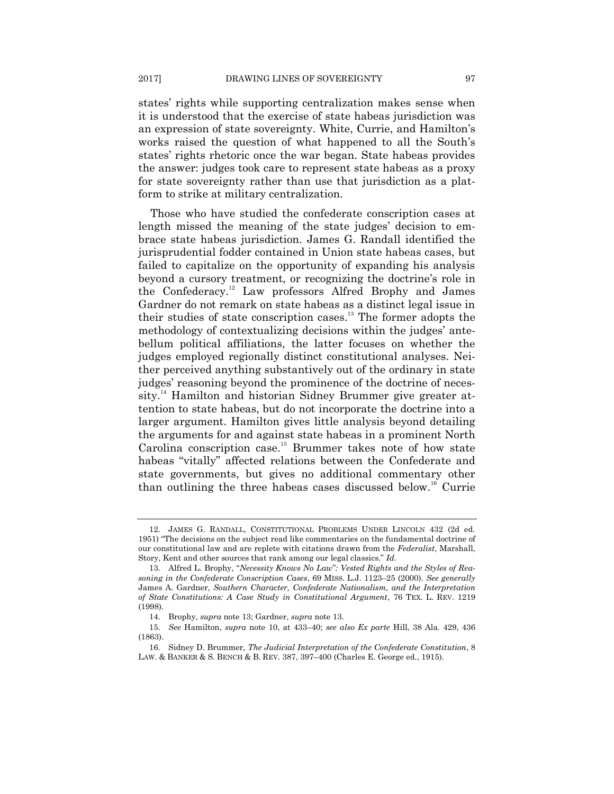states' rights while supporting centralization makes sense when it is understood that the exercise of state habeas jurisdiction was an expression of state sovereignty. White, Currie, and Hamilton's works raised the question of what happened to all the South's states' rights rhetoric once the war began. State habeas provides the answer: judges took care to represent state habeas as a proxy for state sovereignty rather than use that jurisdiction as a platform to strike at military centralization.

Those who have studied the confederate conscription cases at length missed the meaning of the state judges' decision to embrace state habeas jurisdiction. James G. Randall identified the jurisprudential fodder contained in Union state habeas cases, but failed to capitalize on the opportunity of expanding his analysis beyond a cursory treatment, or recognizing the doctrine's role in the Confederacy.<sup>12</sup> Law professors Alfred Brophy and James Gardner do not remark on state habeas as a distinct legal issue in their studies of state conscription cases. <sup>13</sup> The former adopts the methodology of contextualizing decisions within the judges' antebellum political affiliations, the latter focuses on whether the judges employed regionally distinct constitutional analyses. Neither perceived anything substantively out of the ordinary in state judges' reasoning beyond the prominence of the doctrine of necessity.<sup>14</sup> Hamilton and historian Sidney Brummer give greater attention to state habeas, but do not incorporate the doctrine into a larger argument. Hamilton gives little analysis beyond detailing the arguments for and against state habeas in a prominent North Carolina conscription case.<sup>15</sup> Brummer takes note of how state habeas "vitally" affected relations between the Confederate and state governments, but gives no additional commentary other than outlining the three habeas cases discussed below.<sup>16</sup> Currie

<sup>12.</sup> JAMES G. RANDALL, CONSTITUTIONAL PROBLEMS UNDER LINCOLN 432 (2d ed. 1951) "The decisions on the subject read like commentaries on the fundamental doctrine of our constitutional law and are replete with citations drawn from the *Federalist*, Marshall, Story, Kent and other sources that rank among our legal classics." Id.

<sup>13.</sup> Alfred L. Brophy, "Necessity Knows No Law": Vested Rights and the Styles of Rea*soning in the Confederate Conscription Cases*, 69 MISS. L.J. 1123–25 (2000). *See generally*  James A. Gardner, *Southern Character, Confederate Nationalism, and the Interpretation of State Constitutions: A Case Study in Constitutional Argument*, 76 TEX. L. REV. 1219 (1998).

<sup>14.</sup> Brophy, *supra* note 13; Gardner, *supra* note 13.

<sup>15.</sup> *See* Hamilton, *supra* note 10, at 433–40; *see also Ex parte* Hill, 38 Ala. 429, 436 (1863).

<sup>16.</sup> Sidney D. Brummer, *The Judicial Interpretation of the Confederate Constitution*, 8 LAW. & BANKER & S. BENCH & B. REV. 387, 397–400 (Charles E. George ed., 1915).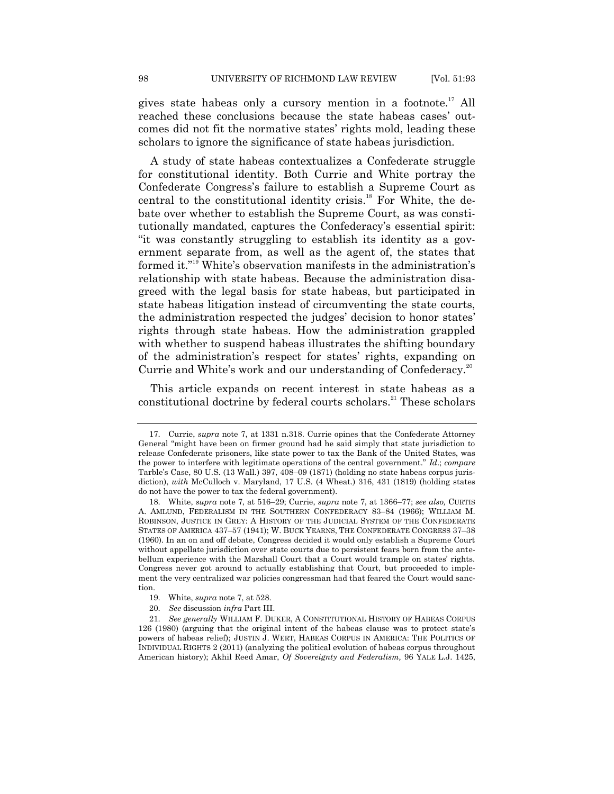gives state habeas only a cursory mention in a footnote.<sup>17</sup> All reached these conclusions because the state habeas cases' outcomes did not fit the normative states' rights mold, leading these scholars to ignore the significance of state habeas jurisdiction.

A study of state habeas contextualizes a Confederate struggle for constitutional identity. Both Currie and White portray the Confederate Congress's failure to establish a Supreme Court as central to the constitutional identity crisis.<sup>18</sup> For White, the debate over whether to establish the Supreme Court, as was constitutionally mandated, captures the Confederacy's essential spirit: ―it was constantly struggling to establish its identity as a government separate from, as well as the agent of, the states that formed it."<sup>19</sup> White's observation manifests in the administration's relationship with state habeas. Because the administration disagreed with the legal basis for state habeas, but participated in state habeas litigation instead of circumventing the state courts, the administration respected the judges' decision to honor states' rights through state habeas. How the administration grappled with whether to suspend habeas illustrates the shifting boundary of the administration's respect for states' rights, expanding on Currie and White's work and our understanding of Confederacy.<sup>20</sup>

This article expands on recent interest in state habeas as a constitutional doctrine by federal courts scholars.<sup>21</sup> These scholars

<sup>17.</sup> Currie, *supra* note 7, at 1331 n.318. Currie opines that the Confederate Attorney General "might have been on firmer ground had he said simply that state jurisdiction to release Confederate prisoners, like state power to tax the Bank of the United States, was the power to interfere with legitimate operations of the central government.‖ *Id*.; *compare* Tarble's Case, 80 U.S. (13 Wall.) 397, 408–09 (1871) (holding no state habeas corpus jurisdiction), *with* McCulloch v. Maryland, 17 U.S. (4 Wheat.) 316, 431 (1819) (holding states do not have the power to tax the federal government).

<sup>18.</sup> White, *supra* note 7, at 516–29; Currie, *supra* note 7, at 1366–77; *see also,* CURTIS A. AMLUND, FEDERALISM IN THE SOUTHERN CONFEDERACY 83–84 (1966); WILLIAM M. ROBINSON, JUSTICE IN GREY: A HISTORY OF THE JUDICIAL SYSTEM OF THE CONFEDERATE STATES OF AMERICA 437–57 (1941); W. BUCK YEARNS, THE CONFEDERATE CONGRESS 37–38 (1960). In an on and off debate, Congress decided it would only establish a Supreme Court without appellate jurisdiction over state courts due to persistent fears born from the antebellum experience with the Marshall Court that a Court would trample on states' rights. Congress never got around to actually establishing that Court, but proceeded to implement the very centralized war policies congressman had that feared the Court would sanction.

<sup>19.</sup> White, *supra* note 7, at 528.

<sup>20.</sup> *See* discussion *infra* Part III.

<sup>21.</sup> *See generally* WILLIAM F. DUKER, A CONSTITUTIONAL HISTORY OF HABEAS CORPUS 126 (1980) (arguing that the original intent of the habeas clause was to protect state's powers of habeas relief); JUSTIN J. WERT, HABEAS CORPUS IN AMERICA: THE POLITICS OF INDIVIDUAL RIGHTS 2 (2011) (analyzing the political evolution of habeas corpus throughout American history); Akhil Reed Amar, *Of Sovereignty and Federalism,* 96 YALE L.J. 1425,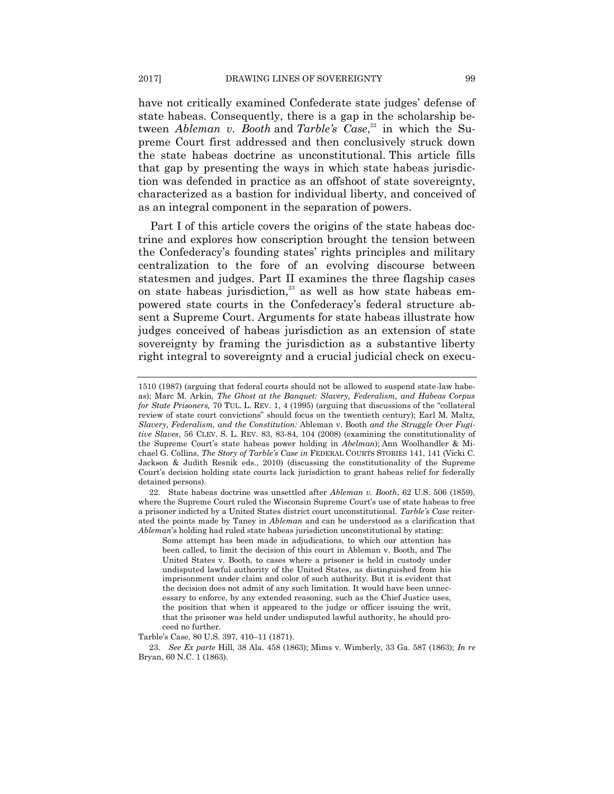have not critically examined Confederate state judges' defense of state habeas. Consequently, there is a gap in the scholarship between *Ableman v. Booth* and *Tarble's Case*, <sup>22</sup> in which the Supreme Court first addressed and then conclusively struck down the state habeas doctrine as unconstitutional. This article fills that gap by presenting the ways in which state habeas jurisdiction was defended in practice as an offshoot of state sovereignty, characterized as a bastion for individual liberty, and conceived of as an integral component in the separation of powers.

Part I of this article covers the origins of the state habeas doctrine and explores how conscription brought the tension between the Confederacy's founding states' rights principles and military centralization to the fore of an evolving discourse between statesmen and judges. Part II examines the three flagship cases on state habeas jurisdiction,<sup>23</sup> as well as how state habeas empowered state courts in the Confederacy's federal structure absent a Supreme Court. Arguments for state habeas illustrate how judges conceived of habeas jurisdiction as an extension of state sovereignty by framing the jurisdiction as a substantive liberty right integral to sovereignty and a crucial judicial check on execu-

22. State habeas doctrine was unsettled after *Ableman v. Booth*, 62 U.S. 506 (1859), where the Supreme Court ruled the Wisconsin Supreme Court's use of state habeas to free a prisoner indicted by a United States district court unconstitutional. *Tarble's Case* reiterated the points made by Taney in *Ableman* and can be understood as a clarification that *Ableman*'s holding had ruled state habeas jurisdiction unconstitutional by stating:

Some attempt has been made in adjudications, to which our attention has been called, to limit the decision of this court in Ableman v. Booth, and The United States v. Booth, to cases where a prisoner is held in custody under undisputed lawful authority of the United States, as distinguished from his imprisonment under claim and color of such authority. But it is evident that the decision does not admit of any such limitation. It would have been unnecessary to enforce, by any extended reasoning, such as the Chief Justice uses, the position that when it appeared to the judge or officer issuing the writ, that the prisoner was held under undisputed lawful authority, he should proceed no further.

Tarble's Case, 80 U.S. 397, 410–11 (1871).

23. *See Ex parte* Hill, 38 Ala. 458 (1863); Mims v. Wimberly, 33 Ga. 587 (1863); *In re* Bryan, 60 N.C. 1 (1863).

<sup>1510 (1987) (</sup>arguing that federal courts should not be allowed to suspend state-law habeas); Marc M. Arkin, *The Ghost at the Banquet: Slavery, Federalism, and Habeas Corpus for State Prisoners, 70 TUL. L. REV. 1, 4 (1995) (arguing that discussions of the "collateral*" review of state court convictions" should focus on the twentieth century); Earl M. Maltz, *Slavery, Federalism, and the Constitution:* Ableman v. Booth *and the Struggle Over Fugitive Slaves*, 56 CLEV. S. L. REV. 83, 83-84, 104 (2008) (examining the constitutionality of the Supreme Court's state habeas power holding in *Abelman*); Ann Woolhandler & Michael G. Collins, *The Story of Tarble's Case in* FEDERAL COURTS STORIES 141, 141 (Vicki C. Jackson & Judith Resnik eds., 2010) (discussing the constitutionality of the Supreme Court's decision holding state courts lack jurisdiction to grant habeas relief for federally detained persons).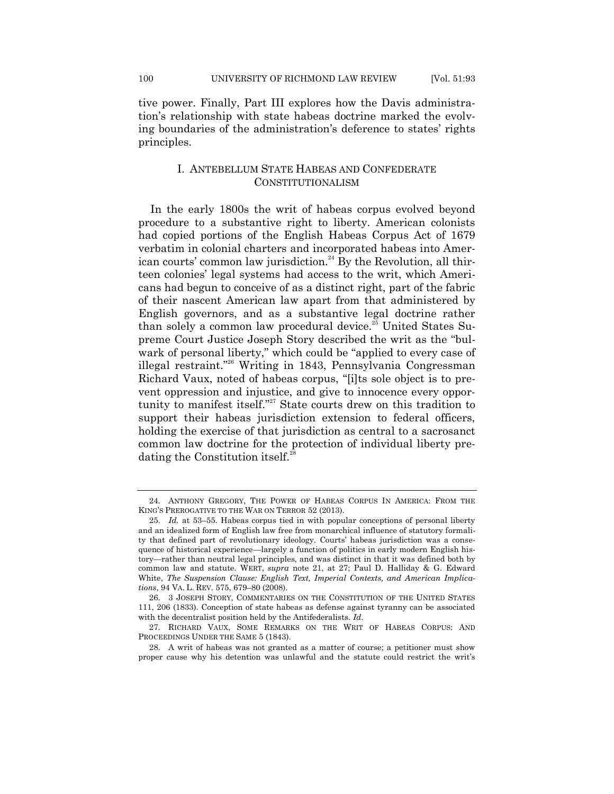tive power. Finally, Part III explores how the Davis administration's relationship with state habeas doctrine marked the evolving boundaries of the administration's deference to states' rights principles.

## I. ANTEBELLUM STATE HABEAS AND CONFEDERATE CONSTITUTIONALISM

In the early 1800s the writ of habeas corpus evolved beyond procedure to a substantive right to liberty. American colonists had copied portions of the English Habeas Corpus Act of 1679 verbatim in colonial charters and incorporated habeas into American courts' common law jurisdiction.<sup>24</sup> By the Revolution, all thirteen colonies' legal systems had access to the writ, which Americans had begun to conceive of as a distinct right, part of the fabric of their nascent American law apart from that administered by English governors, and as a substantive legal doctrine rather than solely a common law procedural device.<sup>25</sup> United States Supreme Court Justice Joseph Story described the writ as the "bulwark of personal liberty," which could be "applied to every case of illegal restraint."<sup>26</sup> Writing in 1843, Pennsylvania Congressman Richard Vaux, noted of habeas corpus, "[i]ts sole object is to prevent oppression and injustice, and give to innocence every opportunity to manifest itself."<sup>27</sup> State courts drew on this tradition to support their habeas jurisdiction extension to federal officers, holding the exercise of that jurisdiction as central to a sacrosanct common law doctrine for the protection of individual liberty predating the Constitution itself.<sup>28</sup>

<sup>24.</sup> ANTHONY GREGORY, THE POWER OF HABEAS CORPUS IN AMERICA: FROM THE KING'S PREROGATIVE TO THE WAR ON TERROR 52 (2013).

<sup>25.</sup> *Id.* at 53–55. Habeas corpus tied in with popular conceptions of personal liberty and an idealized form of English law free from monarchical influence of statutory formality that defined part of revolutionary ideology. Courts' habeas jurisdiction was a consequence of historical experience—largely a function of politics in early modern English history—rather than neutral legal principles, and was distinct in that it was defined both by common law and statute. WERT, *supra* note 21, at 27; Paul D. Halliday & G. Edward White, *The Suspension Clause: English Text, Imperial Contexts, and American Implications*, 94 VA. L. REV. 575, 679–80 (2008).

<sup>26.</sup> 3 JOSEPH STORY, COMMENTARIES ON THE CONSTITUTION OF THE UNITED STATES 111, 206 (1833). Conception of state habeas as defense against tyranny can be associated with the decentralist position held by the Antifederalists. *Id*.

<sup>27.</sup> RICHARD VAUX, SOME REMARKS ON THE WRIT OF HABEAS CORPUS: AND PROCEEDINGS UNDER THE SAME 5 (1843).

<sup>28.</sup> A writ of habeas was not granted as a matter of course; a petitioner must show proper cause why his detention was unlawful and the statute could restrict the writ's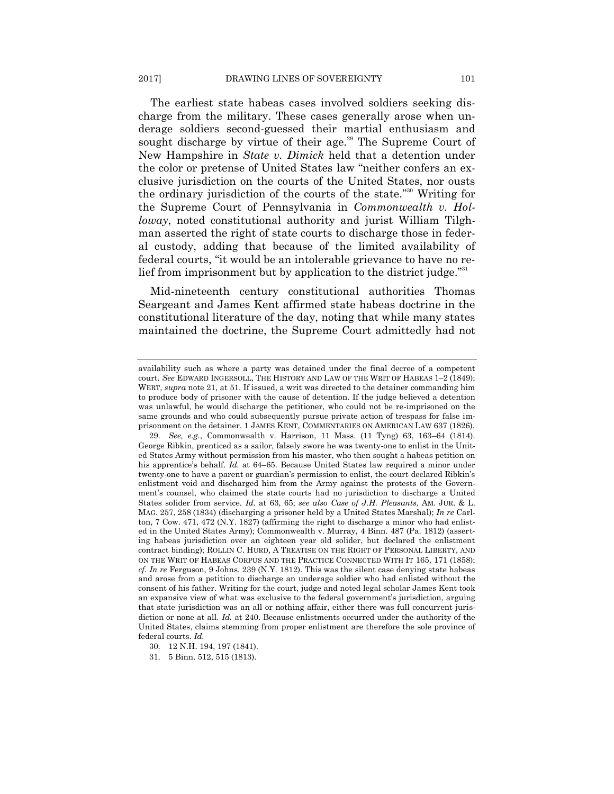The earliest state habeas cases involved soldiers seeking discharge from the military. These cases generally arose when underage soldiers second-guessed their martial enthusiasm and sought discharge by virtue of their age.<sup>29</sup> The Supreme Court of New Hampshire in *State v. Dimick* held that a detention under the color or pretense of United States law "neither confers an exclusive jurisdiction on the courts of the United States, nor ousts the ordinary jurisdiction of the courts of the state."<sup>30</sup> Writing for the Supreme Court of Pennsylvania in *Commonwealth v. Holloway*, noted constitutional authority and jurist William Tilghman asserted the right of state courts to discharge those in federal custody, adding that because of the limited availability of federal courts, "it would be an intolerable grievance to have no relief from imprisonment but by application to the district judge.<sup>"31</sup>

Mid-nineteenth century constitutional authorities Thomas Seargeant and James Kent affirmed state habeas doctrine in the constitutional literature of the day, noting that while many states maintained the doctrine, the Supreme Court admittedly had not

availability such as where a party was detained under the final decree of a competent court. *See* EDWARD INGERSOLL, THE HISTORY AND LAW OF THE WRIT OF HABEAS 1–2 (1849); WERT, *supra* note 21, at 51. If issued, a writ was directed to the detainer commanding him to produce body of prisoner with the cause of detention. If the judge believed a detention was unlawful, he would discharge the petitioner, who could not be re-imprisoned on the same grounds and who could subsequently pursue private action of trespass for false imprisonment on the detainer. 1 JAMES KENT, COMMENTARIES ON AMERICAN LAW 637 (1826).

<sup>29.</sup> *See, e.g.*, Commonwealth v. Harrison, 11 Mass. (11 Tyng) 63, 163–64 (1814). George Ribkin, prenticed as a sailor, falsely swore he was twenty-one to enlist in the United States Army without permission from his master, who then sought a habeas petition on his apprentice's behalf. *Id.* at 64–65. Because United States law required a minor under twenty-one to have a parent or guardian's permission to enlist, the court declared Ribkin's enlistment void and discharged him from the Army against the protests of the Government's counsel, who claimed the state courts had no jurisdiction to discharge a United States solider from service. *Id.* at 63, 65; *see also Case of J.H. Pleasants*, AM. JUR. & L. MAG. 257, 258 (1834) (discharging a prisoner held by a United States Marshal); *In re* Carlton, 7 Cow. 471, 472 (N.Y. 1827) (affirming the right to discharge a minor who had enlisted in the United States Army); Commonwealth v. Murray, 4 Binn. 487 (Pa. 1812) (asserting habeas jurisdiction over an eighteen year old solider, but declared the enlistment contract binding); ROLLIN C. HURD, A TREATISE ON THE RIGHT OF PERSONAL LIBERTY, AND ON THE WRIT OF HABEAS CORPUS AND THE PRACTICE CONNECTED WITH IT 165, 171 (1858); *cf*. *In re* Ferguson, 9 Johns. 239 (N.Y. 1812). This was the silent case denying state habeas and arose from a petition to discharge an underage soldier who had enlisted without the consent of his father. Writing for the court, judge and noted legal scholar James Kent took an expansive view of what was exclusive to the federal government's jurisdiction, arguing that state jurisdiction was an all or nothing affair, either there was full concurrent jurisdiction or none at all. *Id.* at 240. Because enlistments occurred under the authority of the United States, claims stemming from proper enlistment are therefore the sole province of federal courts. *Id.* 

<sup>30.</sup> 12 N.H. 194, 197 (1841).

<sup>31.</sup> 5 Binn. 512, 515 (1813).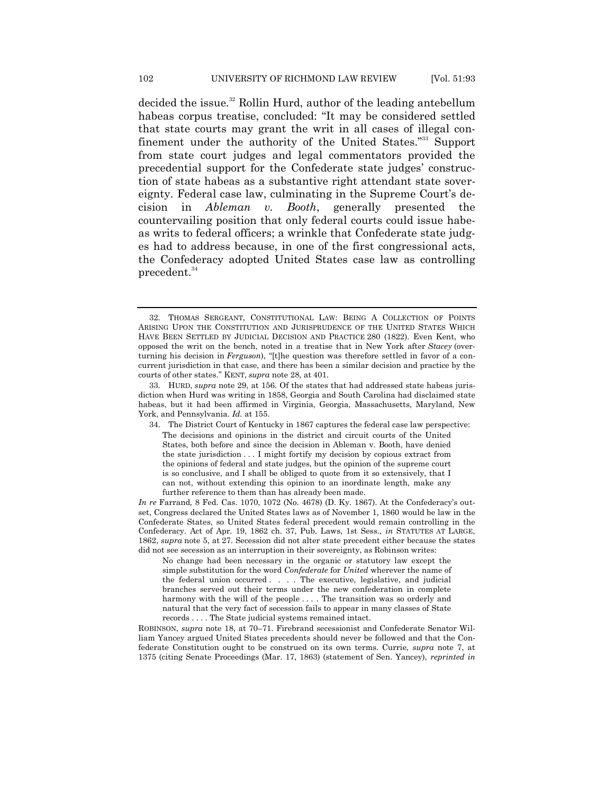decided the issue.<sup>32</sup> Rollin Hurd, author of the leading antebellum habeas corpus treatise, concluded: "It may be considered settled that state courts may grant the writ in all cases of illegal confinement under the authority of the United States."<sup>33</sup> Support from state court judges and legal commentators provided the precedential support for the Confederate state judges' construction of state habeas as a substantive right attendant state sovereignty. Federal case law, culminating in the Supreme Court's decision in *Ableman v. Booth*, generally presented the countervailing position that only federal courts could issue habeas writs to federal officers; a wrinkle that Confederate state judges had to address because, in one of the first congressional acts, the Confederacy adopted United States case law as controlling precedent.<sup>34</sup>

<sup>32.</sup> THOMAS SERGEANT, CONSTITUTIONAL LAW: BEING A COLLECTION OF POINTS ARISING UPON THE CONSTITUTION AND JURISPRUDENCE OF THE UNITED STATES WHICH HAVE BEEN SETTLED BY JUDICIAL DECISION AND PRACTICE 280 (1822). Even Kent, who opposed the writ on the bench, noted in a treatise that in New York after *Stacey* (overturning his decision in *Ferguson*), "[t]he question was therefore settled in favor of a concurrent jurisdiction in that case, and there has been a similar decision and practice by the courts of other states.‖ KENT, *supra* note 28, at 401.

<sup>33.</sup> HURD, *supra* note 29, at 156. Of the states that had addressed state habeas jurisdiction when Hurd was writing in 1858, Georgia and South Carolina had disclaimed state habeas, but it had been affirmed in Virginia, Georgia, Massachusetts, Maryland, New York, and Pennsylvania. *Id.* at 155.

<sup>34.</sup> The District Court of Kentucky in 1867 captures the federal case law perspective: The decisions and opinions in the district and circuit courts of the United States, both before and since the decision in Ableman v. Booth, have denied the state jurisdiction . . . I might fortify my decision by copious extract from the opinions of federal and state judges, but the opinion of the supreme court is so conclusive, and I shall be obliged to quote from it so extensively, that I can not, without extending this opinion to an inordinate length, make any further reference to them than has already been made.

*In re* Farrand*,* 8 Fed. Cas. 1070, 1072 (No. 4678) (D. Ky. 1867). At the Confederacy's outset, Congress declared the United States laws as of November 1, 1860 would be law in the Confederate States, so United States federal precedent would remain controlling in the Confederacy. Act of Apr. 19, 1862 ch. 37, Pub. Laws, 1st Sess., *in* STATUTES AT LARGE, 1862, *supra* note 5, at 27. Secession did not alter state precedent either because the states did not see secession as an interruption in their sovereignty, as Robinson writes:

No change had been necessary in the organic or statutory law except the simple substitution for the word *Confederate* for *United* wherever the name of the federal union occurred . . . . The executive, legislative, and judicial branches served out their terms under the new confederation in complete harmony with the will of the people . . . . The transition was so orderly and natural that the very fact of secession fails to appear in many classes of State records . . . . The State judicial systems remained intact.

ROBINSON, *supra* note 18, at 70–71. Firebrand secessionist and Confederate Senator William Yancey argued United States precedents should never be followed and that the Confederate Constitution ought to be construed on its own terms. Currie, *supra* note 7, at 1375 (citing Senate Proceedings (Mar. 17, 1863) (statement of Sen. Yancey), *reprinted in*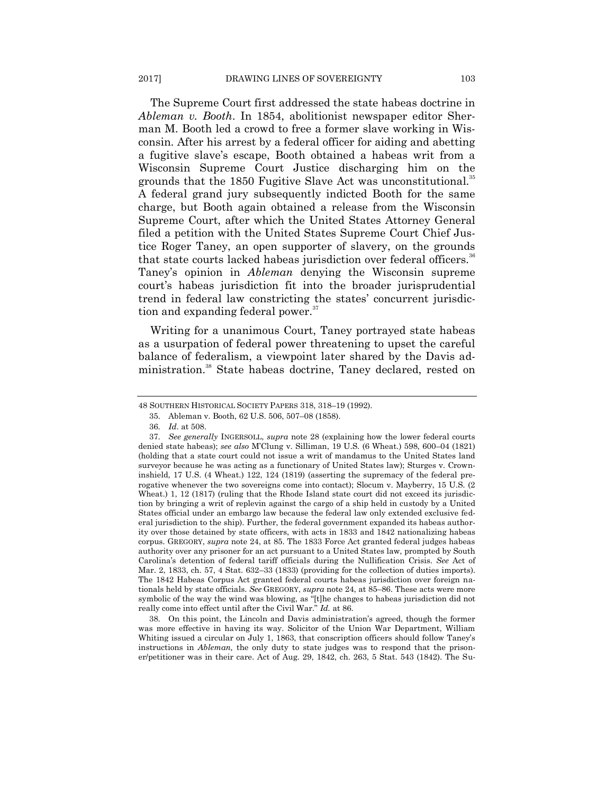The Supreme Court first addressed the state habeas doctrine in *Ableman v. Booth*. In 1854, abolitionist newspaper editor Sherman M. Booth led a crowd to free a former slave working in Wisconsin. After his arrest by a federal officer for aiding and abetting a fugitive slave's escape, Booth obtained a habeas writ from a Wisconsin Supreme Court Justice discharging him on the grounds that the  $1850$  Fugitive Slave Act was unconstitutional.<sup>35</sup> A federal grand jury subsequently indicted Booth for the same charge, but Booth again obtained a release from the Wisconsin Supreme Court, after which the United States Attorney General filed a petition with the United States Supreme Court Chief Justice Roger Taney, an open supporter of slavery, on the grounds that state courts lacked habeas jurisdiction over federal officers.<sup>36</sup> Taney's opinion in *Ableman* denying the Wisconsin supreme court's habeas jurisdiction fit into the broader jurisprudential trend in federal law constricting the states' concurrent jurisdiction and expanding federal power.<sup>37</sup>

Writing for a unanimous Court, Taney portrayed state habeas as a usurpation of federal power threatening to upset the careful balance of federalism, a viewpoint later shared by the Davis administration.<sup>38</sup> State habeas doctrine, Taney declared, rested on

38. On this point, the Lincoln and Davis administration's agreed, though the former was more effective in having its way. Solicitor of the Union War Department, William Whiting issued a circular on July 1, 1863, that conscription officers should follow Taney's instructions in *Ableman,* the only duty to state judges was to respond that the prisoner/petitioner was in their care. Act of Aug. 29, 1842, ch. 263, 5 Stat. 543 (1842). The Su-

<sup>48</sup> SOUTHERN HISTORICAL SOCIETY PAPERS 318, 318–19 (1992).

<sup>35.</sup> Ableman v. Booth, 62 U.S. 506, 507–08 (1858).

<sup>36.</sup> *Id*. at 508.

<sup>37.</sup> *See generally* INGERSOLL, *supra* note 28 (explaining how the lower federal courts denied state habeas); *see also* M'Clung v. Silliman, 19 U.S. (6 Wheat.) 598, 600–04 (1821) (holding that a state court could not issue a writ of mandamus to the United States land surveyor because he was acting as a functionary of United States law); Sturges v. Crowninshield, 17 U.S. (4 Wheat.) 122, 124 (1819) (asserting the supremacy of the federal prerogative whenever the two sovereigns come into contact); Slocum v. Mayberry, 15 U.S. (2) Wheat.) 1, 12 (1817) (ruling that the Rhode Island state court did not exceed its jurisdiction by bringing a writ of replevin against the cargo of a ship held in custody by a United States official under an embargo law because the federal law only extended exclusive federal jurisdiction to the ship). Further, the federal government expanded its habeas authority over those detained by state officers, with acts in 1833 and 1842 nationalizing habeas corpus. GREGORY, *supra* note 24, at 85. The 1833 Force Act granted federal judges habeas authority over any prisoner for an act pursuant to a United States law, prompted by South Carolina's detention of federal tariff officials during the Nullification Crisis. *See* Act of Mar. 2, 1833, ch. 57, 4 Stat. 632–33 (1833) (providing for the collection of duties imports). The 1842 Habeas Corpus Act granted federal courts habeas jurisdiction over foreign nationals held by state officials. *See* GREGORY, *supra* note 24, at 85–86. These acts were more symbolic of the way the wind was blowing, as "[t]he changes to habeas jurisdiction did not really come into effect until after the Civil War." *Id.* at 86.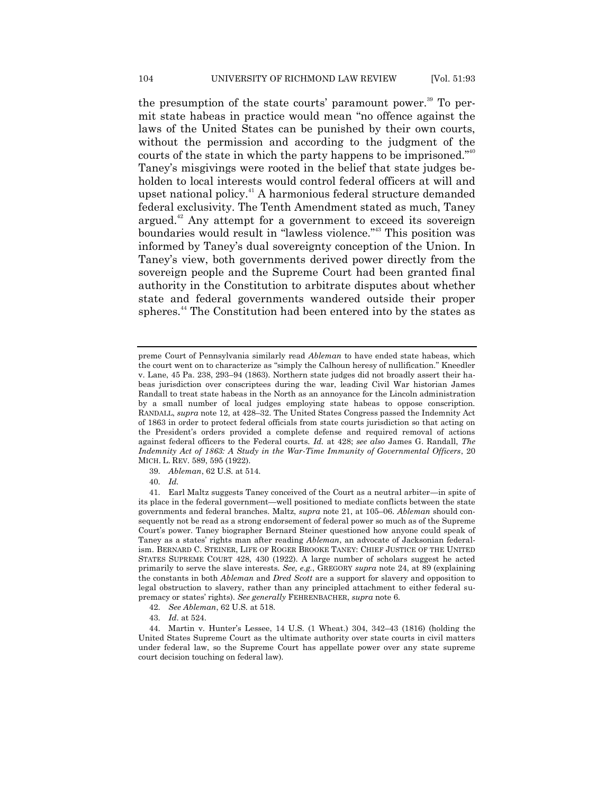the presumption of the state courts' paramount power.<sup>39</sup> To permit state habeas in practice would mean "no offence against the laws of the United States can be punished by their own courts, without the permission and according to the judgment of the courts of the state in which the party happens to be imprisoned." $40$ Taney's misgivings were rooted in the belief that state judges beholden to local interests would control federal officers at will and upset national policy.<sup>41</sup> A harmonious federal structure demanded federal exclusivity. The Tenth Amendment stated as much, Taney argued. $42$  Any attempt for a government to exceed its sovereign boundaries would result in "lawless violence."<sup>43</sup> This position was informed by Taney's dual sovereignty conception of the Union. In Taney's view, both governments derived power directly from the sovereign people and the Supreme Court had been granted final authority in the Constitution to arbitrate disputes about whether state and federal governments wandered outside their proper spheres.<sup>44</sup> The Constitution had been entered into by the states as

- 42. *See Ableman*, 62 U.S. at 518.
- 43. *Id*. at 524.

preme Court of Pennsylvania similarly read *Ableman* to have ended state habeas, which the court went on to characterize as "simply the Calhoun heresy of nullification." Kneedler v. Lane, 45 Pa. 238, 293–94 (1863). Northern state judges did not broadly assert their habeas jurisdiction over conscriptees during the war, leading Civil War historian James Randall to treat state habeas in the North as an annoyance for the Lincoln administration by a small number of local judges employing state habeas to oppose conscription. RANDALL, *supra* note 12, at 428–32. The United States Congress passed the Indemnity Act of 1863 in order to protect federal officials from state courts jurisdiction so that acting on the President's orders provided a complete defense and required removal of actions against federal officers to the Federal courts. *Id.* at 428; *see also* James G. Randall, *The Indemnity Act of 1863: A Study in the War-Time Immunity of Governmental Officers*, 20 MICH. L. REV. 589, 595 (1922).

<sup>39.</sup> *Ableman*, 62 U.S. at 514.

<sup>40.</sup> *Id.*

<sup>41.</sup> Earl Maltz suggests Taney conceived of the Court as a neutral arbiter—in spite of its place in the federal government—well positioned to mediate conflicts between the state governments and federal branches. Maltz, *supra* note 21, at 105–06. *Ableman* should consequently not be read as a strong endorsement of federal power so much as of the Supreme Court's power. Taney biographer Bernard Steiner questioned how anyone could speak of Taney as a states' rights man after reading *Ableman*, an advocate of Jacksonian federalism. BERNARD C. STEINER, LIFE OF ROGER BROOKE TANEY: CHIEF JUSTICE OF THE UNITED STATES SUPREME COURT 428, 430 (1922). A large number of scholars suggest he acted primarily to serve the slave interests. *See, e.g.*, GREGORY *supra* note 24, at 89 (explaining the constants in both *Ableman* and *Dred Scott* are a support for slavery and opposition to legal obstruction to slavery, rather than any principled attachment to either federal supremacy or states' rights). *See generally* FEHRENBACHER, *supra* note 6.

<sup>44.</sup> Martin v. Hunter's Lessee, 14 U.S. (1 Wheat.) 304, 342–43 (1816) (holding the United States Supreme Court as the ultimate authority over state courts in civil matters under federal law, so the Supreme Court has appellate power over any state supreme court decision touching on federal law).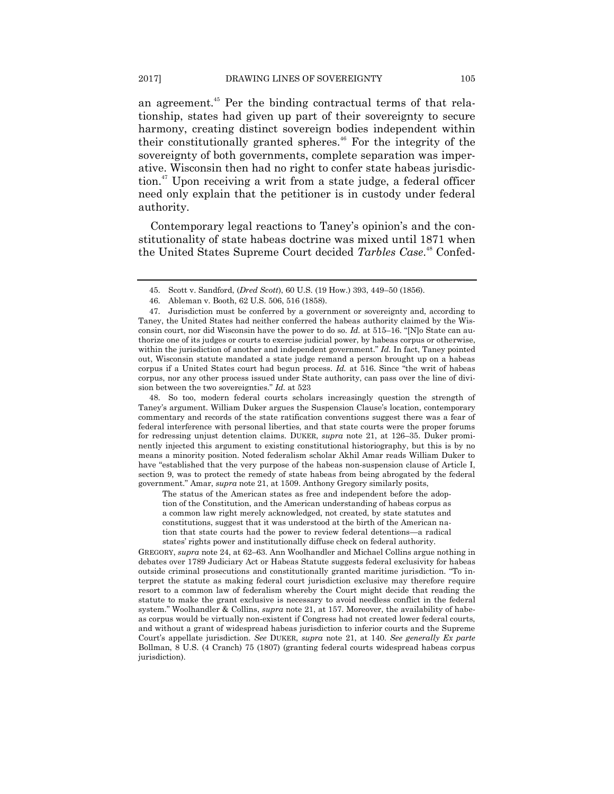an agreement.<sup>45</sup> Per the binding contractual terms of that relationship, states had given up part of their sovereignty to secure harmony, creating distinct sovereign bodies independent within their constitutionally granted spheres.<sup>46</sup> For the integrity of the sovereignty of both governments, complete separation was imperative. Wisconsin then had no right to confer state habeas jurisdiction.<sup>47</sup> Upon receiving a writ from a state judge, a federal officer need only explain that the petitioner is in custody under federal authority.

Contemporary legal reactions to Taney's opinion's and the constitutionality of state habeas doctrine was mixed until 1871 when the United States Supreme Court decided *Tarbles Case*. <sup>48</sup> Confed-

48. So too, modern federal courts scholars increasingly question the strength of Taney's argument. William Duker argues the Suspension Clause's location, contemporary commentary and records of the state ratification conventions suggest there was a fear of federal interference with personal liberties, and that state courts were the proper forums for redressing unjust detention claims. DUKER, *supra* note 21, at 126–35. Duker prominently injected this argument to existing constitutional historiography, but this is by no means a minority position. Noted federalism scholar Akhil Amar reads William Duker to have "established that the very purpose of the habeas non-suspension clause of Article I, section 9, was to protect the remedy of state habeas from being abrogated by the federal government.‖ Amar, *supra* note 21, at 1509. Anthony Gregory similarly posits,

The status of the American states as free and independent before the adoption of the Constitution, and the American understanding of habeas corpus as a common law right merely acknowledged, not created, by state statutes and constitutions, suggest that it was understood at the birth of the American nation that state courts had the power to review federal detentions—a radical states' rights power and institutionally diffuse check on federal authority.

GREGORY, *supra* note 24, at 62–63. Ann Woolhandler and Michael Collins argue nothing in debates over 1789 Judiciary Act or Habeas Statute suggests federal exclusivity for habeas outside criminal prosecutions and constitutionally granted maritime jurisdiction. ―To interpret the statute as making federal court jurisdiction exclusive may therefore require resort to a common law of federalism whereby the Court might decide that reading the statute to make the grant exclusive is necessary to avoid needless conflict in the federal system." Woolhandler & Collins, *supra* note 21, at 157. Moreover, the availability of habeas corpus would be virtually non-existent if Congress had not created lower federal courts, and without a grant of widespread habeas jurisdiction to inferior courts and the Supreme Court's appellate jurisdiction. *See* DUKER, *supra* note 21, at 140. *See generally Ex parte* Bollman, 8 U.S. (4 Cranch) 75 (1807) (granting federal courts widespread habeas corpus jurisdiction).

<sup>45.</sup> Scott v. Sandford, (*Dred Scott*), 60 U.S. (19 How.) 393, 449–50 (1856).

<sup>46.</sup> Ableman v. Booth, 62 U.S. 506, 516 (1858).

<sup>47.</sup> Jurisdiction must be conferred by a government or sovereignty and, according to Taney, the United States had neither conferred the habeas authority claimed by the Wisconsin court, nor did Wisconsin have the power to do so. *Id.* at 515–16. "[N]o State can authorize one of its judges or courts to exercise judicial power, by habeas corpus or otherwise, within the jurisdiction of another and independent government." *Id.* In fact, Taney pointed out, Wisconsin statute mandated a state judge remand a person brought up on a habeas corpus if a United States court had begun process. *Id.* at 516. Since "the writ of habeas corpus, nor any other process issued under State authority, can pass over the line of division between the two sovereignties." *Id.* at 523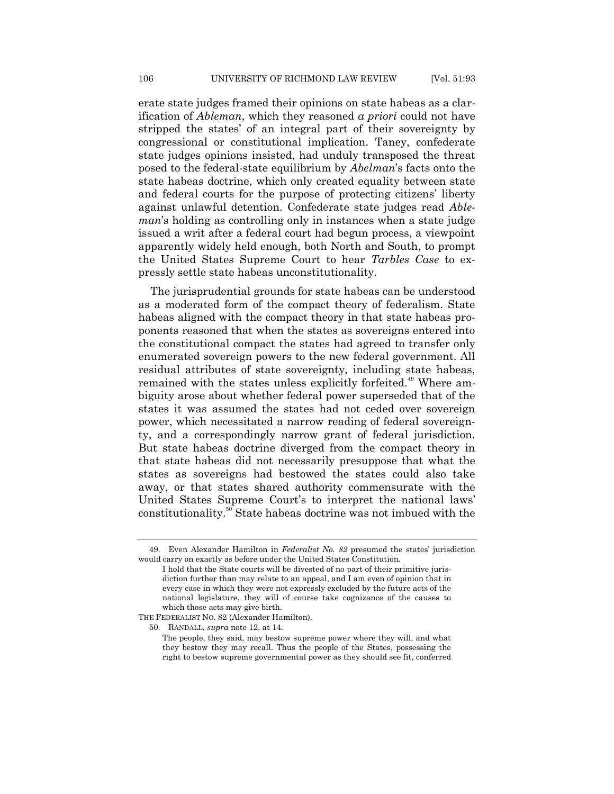erate state judges framed their opinions on state habeas as a clarification of *Ableman*, which they reasoned *a priori* could not have stripped the states' of an integral part of their sovereignty by congressional or constitutional implication. Taney, confederate state judges opinions insisted, had unduly transposed the threat posed to the federal-state equilibrium by *Abelman*'s facts onto the state habeas doctrine, which only created equality between state and federal courts for the purpose of protecting citizens' liberty against unlawful detention. Confederate state judges read *Ableman*'s holding as controlling only in instances when a state judge issued a writ after a federal court had begun process, a viewpoint apparently widely held enough, both North and South, to prompt the United States Supreme Court to hear *Tarbles Case* to expressly settle state habeas unconstitutionality.

The jurisprudential grounds for state habeas can be understood as a moderated form of the compact theory of federalism. State habeas aligned with the compact theory in that state habeas proponents reasoned that when the states as sovereigns entered into the constitutional compact the states had agreed to transfer only enumerated sovereign powers to the new federal government. All residual attributes of state sovereignty, including state habeas, remained with the states unless explicitly forfeited.<sup>49</sup> Where ambiguity arose about whether federal power superseded that of the states it was assumed the states had not ceded over sovereign power, which necessitated a narrow reading of federal sovereignty, and a correspondingly narrow grant of federal jurisdiction. But state habeas doctrine diverged from the compact theory in that state habeas did not necessarily presuppose that what the states as sovereigns had bestowed the states could also take away, or that states shared authority commensurate with the United States Supreme Court's to interpret the national laws' constitutionality.<sup>50</sup> State habeas doctrine was not imbued with the

50. RANDALL, *supra* note 12, at 14.

<sup>49.</sup> Even Alexander Hamilton in *Federalist No. 82* presumed the states' jurisdiction would carry on exactly as before under the United States Constitution.

I hold that the State courts will be divested of no part of their primitive jurisdiction further than may relate to an appeal, and I am even of opinion that in every case in which they were not expressly excluded by the future acts of the national legislature, they will of course take cognizance of the causes to which those acts may give birth.

THE FEDERALIST NO. 82 (Alexander Hamilton).

The people, they said, may bestow supreme power where they will, and what they bestow they may recall. Thus the people of the States, possessing the right to bestow supreme governmental power as they should see fit, conferred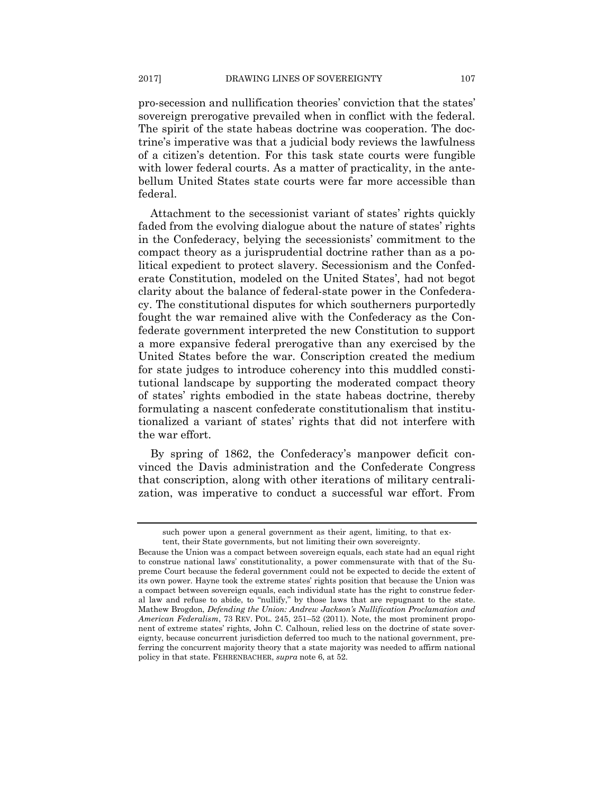pro-secession and nullification theories' conviction that the states' sovereign prerogative prevailed when in conflict with the federal. The spirit of the state habeas doctrine was cooperation. The doctrine's imperative was that a judicial body reviews the lawfulness of a citizen's detention. For this task state courts were fungible with lower federal courts. As a matter of practicality, in the antebellum United States state courts were far more accessible than federal.

Attachment to the secessionist variant of states' rights quickly faded from the evolving dialogue about the nature of states' rights in the Confederacy, belying the secessionists' commitment to the compact theory as a jurisprudential doctrine rather than as a political expedient to protect slavery. Secessionism and the Confederate Constitution, modeled on the United States', had not begot clarity about the balance of federal-state power in the Confederacy. The constitutional disputes for which southerners purportedly fought the war remained alive with the Confederacy as the Confederate government interpreted the new Constitution to support a more expansive federal prerogative than any exercised by the United States before the war. Conscription created the medium for state judges to introduce coherency into this muddled constitutional landscape by supporting the moderated compact theory of states' rights embodied in the state habeas doctrine, thereby formulating a nascent confederate constitutionalism that institutionalized a variant of states' rights that did not interfere with the war effort.

By spring of 1862, the Confederacy's manpower deficit convinced the Davis administration and the Confederate Congress that conscription, along with other iterations of military centralization, was imperative to conduct a successful war effort. From

such power upon a general government as their agent, limiting, to that extent, their State governments, but not limiting their own sovereignty.

Because the Union was a compact between sovereign equals, each state had an equal right to construe national laws' constitutionality, a power commensurate with that of the Supreme Court because the federal government could not be expected to decide the extent of its own power. Hayne took the extreme states' rights position that because the Union was a compact between sovereign equals, each individual state has the right to construe federal law and refuse to abide, to "nullify," by those laws that are repugnant to the state. Mathew Brogdon, *Defending the Union: Andrew Jackson's Nullification Proclamation and American Federalism*, 73 REV. POL. 245, 251–52 (2011). Note, the most prominent proponent of extreme states' rights, John C. Calhoun, relied less on the doctrine of state sovereignty, because concurrent jurisdiction deferred too much to the national government, preferring the concurrent majority theory that a state majority was needed to affirm national policy in that state. FEHRENBACHER, *supra* note 6, at 52.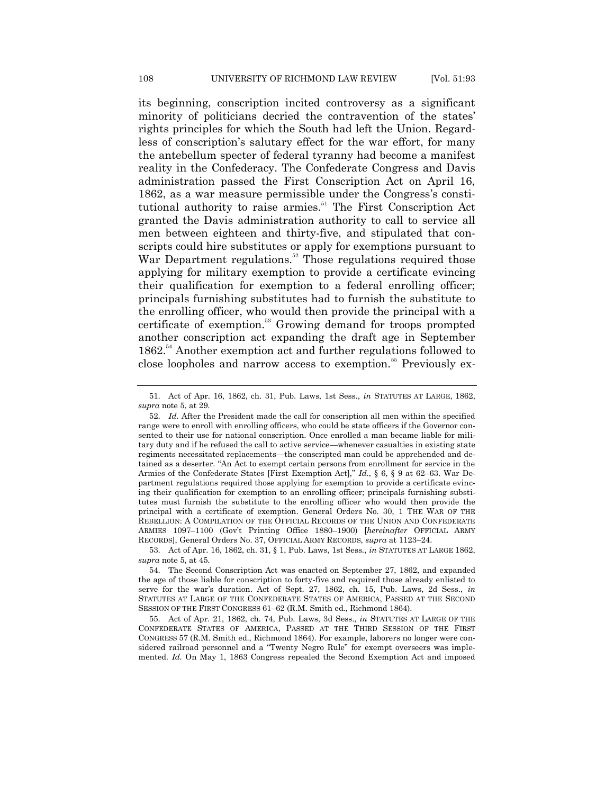its beginning, conscription incited controversy as a significant minority of politicians decried the contravention of the states' rights principles for which the South had left the Union. Regardless of conscription's salutary effect for the war effort, for many the antebellum specter of federal tyranny had become a manifest reality in the Confederacy. The Confederate Congress and Davis administration passed the First Conscription Act on April 16, 1862, as a war measure permissible under the Congress's constitutional authority to raise armies.<sup>51</sup> The First Conscription Act granted the Davis administration authority to call to service all men between eighteen and thirty-five, and stipulated that conscripts could hire substitutes or apply for exemptions pursuant to War Department regulations.<sup>52</sup> Those regulations required those applying for military exemption to provide a certificate evincing their qualification for exemption to a federal enrolling officer; principals furnishing substitutes had to furnish the substitute to the enrolling officer, who would then provide the principal with a certificate of exemption.<sup>53</sup> Growing demand for troops prompted another conscription act expanding the draft age in September 1862.<sup>54</sup> Another exemption act and further regulations followed to close loopholes and narrow access to exemption.<sup>55</sup> Previously ex-

<sup>51.</sup> Act of Apr. 16, 1862, ch. 31, Pub. Laws, 1st Sess., *in* STATUTES AT LARGE, 1862, *supra* note 5, at 29.

<sup>52.</sup> *Id*. After the President made the call for conscription all men within the specified range were to enroll with enrolling officers, who could be state officers if the Governor consented to their use for national conscription. Once enrolled a man became liable for military duty and if he refused the call to active service—whenever casualties in existing state regiments necessitated replacements—the conscripted man could be apprehended and detained as a deserter. "An Act to exempt certain persons from enrollment for service in the Armies of the Confederate States [First Exemption Act]," *Id.*, § 6, § 9 at 62–63. War Department regulations required those applying for exemption to provide a certificate evincing their qualification for exemption to an enrolling officer; principals furnishing substitutes must furnish the substitute to the enrolling officer who would then provide the principal with a certificate of exemption. General Orders No. 30, 1 THE WAR OF THE REBELLION: A COMPILATION OF THE OFFICIAL RECORDS OF THE UNION AND CONFEDERATE ARMIES 1097–1100 (Gov't Printing Office 1880–1900) [*hereinafter* OFFICIAL ARMY RECORDS], General Orders No. 37, OFFICIAL ARMY RECORDS, *supra* at 1123–24.

<sup>53.</sup> Act of Apr. 16, 1862, ch. 31, § 1, Pub. Laws, 1st Sess., *in* STATUTES AT LARGE 1862, *supra* note 5, at 45.

<sup>54.</sup> The Second Conscription Act was enacted on September 27, 1862, and expanded the age of those liable for conscription to forty-five and required those already enlisted to serve for the war's duration. Act of Sept. 27, 1862, ch. 15, Pub. Laws, 2d Sess., *in*  STATUTES AT LARGE OF THE CONFEDERATE STATES OF AMERICA, PASSED AT THE SECOND SESSION OF THE FIRST CONGRESS 61–62 (R.M. Smith ed., Richmond 1864).

<sup>55.</sup> Act of Apr. 21, 1862, ch. 74, Pub. Laws, 3d Sess., *in* STATUTES AT LARGE OF THE CONFEDERATE STATES OF AMERICA, PASSED AT THE THIRD SESSION OF THE FIRST CONGRESS 57 (R.M. Smith ed., Richmond 1864). For example, laborers no longer were considered railroad personnel and a "Twenty Negro Rule" for exempt overseers was implemented. *Id.* On May 1, 1863 Congress repealed the Second Exemption Act and imposed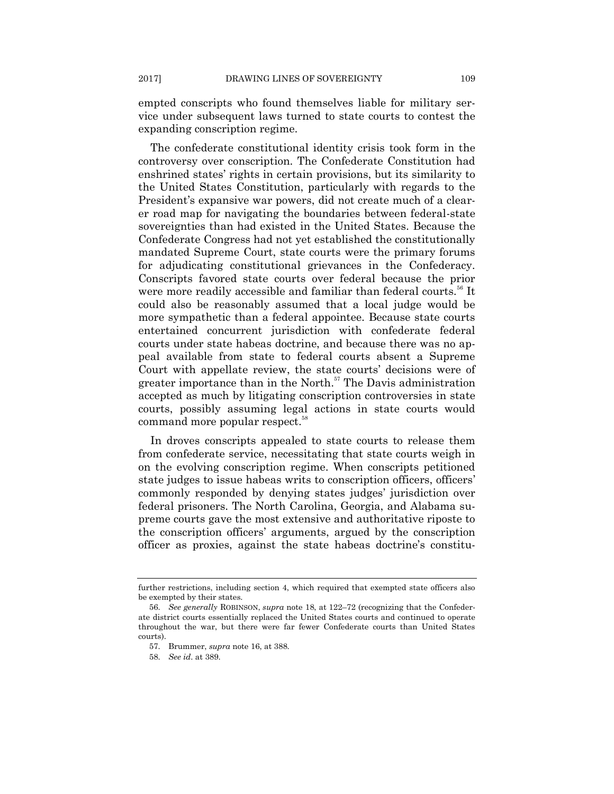empted conscripts who found themselves liable for military service under subsequent laws turned to state courts to contest the expanding conscription regime.

The confederate constitutional identity crisis took form in the controversy over conscription. The Confederate Constitution had enshrined states' rights in certain provisions, but its similarity to the United States Constitution, particularly with regards to the President's expansive war powers, did not create much of a clearer road map for navigating the boundaries between federal-state sovereignties than had existed in the United States. Because the Confederate Congress had not yet established the constitutionally mandated Supreme Court, state courts were the primary forums for adjudicating constitutional grievances in the Confederacy. Conscripts favored state courts over federal because the prior were more readily accessible and familiar than federal courts.<sup>56</sup> It could also be reasonably assumed that a local judge would be more sympathetic than a federal appointee. Because state courts entertained concurrent jurisdiction with confederate federal courts under state habeas doctrine, and because there was no appeal available from state to federal courts absent a Supreme Court with appellate review, the state courts' decisions were of greater importance than in the North. $57$  The Davis administration accepted as much by litigating conscription controversies in state courts, possibly assuming legal actions in state courts would command more popular respect.<sup>58</sup>

In droves conscripts appealed to state courts to release them from confederate service, necessitating that state courts weigh in on the evolving conscription regime. When conscripts petitioned state judges to issue habeas writs to conscription officers, officers' commonly responded by denying states judges' jurisdiction over federal prisoners. The North Carolina, Georgia, and Alabama supreme courts gave the most extensive and authoritative riposte to the conscription officers' arguments, argued by the conscription officer as proxies, against the state habeas doctrine's constitu-

further restrictions, including section 4, which required that exempted state officers also be exempted by their states.

<sup>56.</sup> *See generally* ROBINSON, *supra* note 18, at 122–72 (recognizing that the Confederate district courts essentially replaced the United States courts and continued to operate throughout the war, but there were far fewer Confederate courts than United States courts).

<sup>57.</sup> Brummer, *supra* note 16, at 388.

<sup>58.</sup> *See id*. at 389.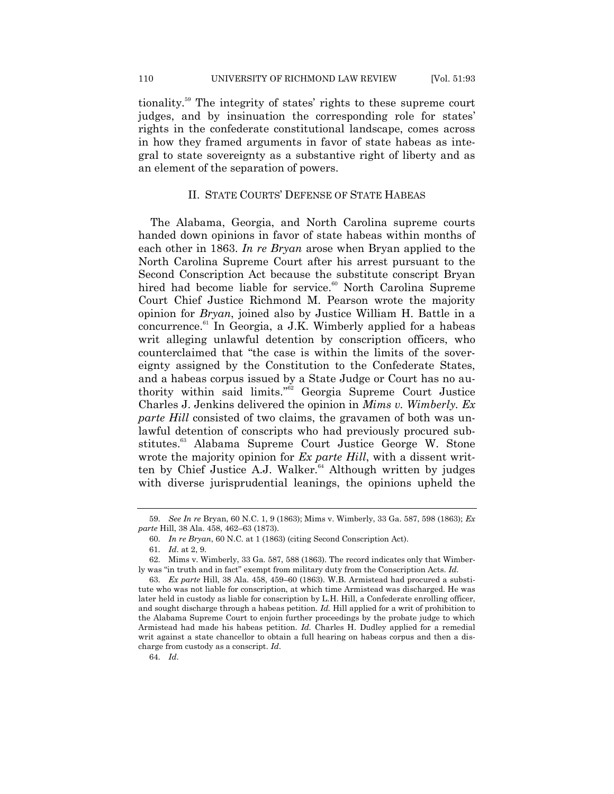tionality.<sup>59</sup> The integrity of states' rights to these supreme court judges, and by insinuation the corresponding role for states' rights in the confederate constitutional landscape, comes across in how they framed arguments in favor of state habeas as integral to state sovereignty as a substantive right of liberty and as an element of the separation of powers.

## II. STATE COURTS' DEFENSE OF STATE HABEAS

The Alabama, Georgia, and North Carolina supreme courts handed down opinions in favor of state habeas within months of each other in 1863. *In re Bryan* arose when Bryan applied to the North Carolina Supreme Court after his arrest pursuant to the Second Conscription Act because the substitute conscript Bryan hired had become liable for service.<sup>60</sup> North Carolina Supreme Court Chief Justice Richmond M. Pearson wrote the majority opinion for *Bryan*, joined also by Justice William H. Battle in a concurrence. <sup>61</sup> In Georgia, a J.K. Wimberly applied for a habeas writ alleging unlawful detention by conscription officers, who counterclaimed that "the case is within the limits of the sovereignty assigned by the Constitution to the Confederate States, and a habeas corpus issued by a State Judge or Court has no authority within said limits."<sup>62</sup> Georgia Supreme Court Justice Charles J. Jenkins delivered the opinion in *Mims v. Wimberly. Ex parte Hill* consisted of two claims, the gravamen of both was unlawful detention of conscripts who had previously procured substitutes.<sup>63</sup> Alabama Supreme Court Justice George W. Stone wrote the majority opinion for *Ex parte Hill*, with a dissent written by Chief Justice A.J. Walker.<sup>64</sup> Although written by judges with diverse jurisprudential leanings, the opinions upheld the

<sup>59.</sup> *See In re* Bryan, 60 N.C. 1, 9 (1863); Mims v. Wimberly, 33 Ga. 587, 598 (1863); *Ex parte* Hill, 38 Ala. 458, 462–63 (1873).

<sup>60.</sup> *In re Bryan*, 60 N.C. at 1 (1863) (citing Second Conscription Act).

<sup>61.</sup> *Id*. at 2, 9.

<sup>62.</sup> Mims v. Wimberly, 33 Ga. 587, 588 (1863). The record indicates only that Wimberly was ―in truth and in fact‖ exempt from military duty from the Conscription Acts. *Id*.

<sup>63.</sup> *Ex parte* Hill, 38 Ala. 458, 459–60 (1863). W.B. Armistead had procured a substitute who was not liable for conscription, at which time Armistead was discharged. He was later held in custody as liable for conscription by L.H. Hill, a Confederate enrolling officer, and sought discharge through a habeas petition. *Id.* Hill applied for a writ of prohibition to the Alabama Supreme Court to enjoin further proceedings by the probate judge to which Armistead had made his habeas petition. *Id.* Charles H. Dudley applied for a remedial writ against a state chancellor to obtain a full hearing on habeas corpus and then a discharge from custody as a conscript. *Id*.

<sup>64.</sup> *Id*.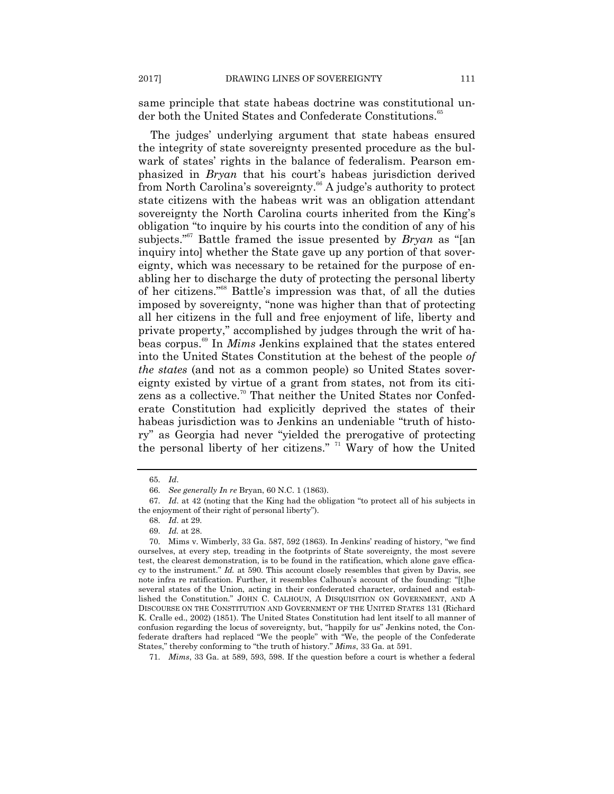same principle that state habeas doctrine was constitutional under both the United States and Confederate Constitutions.<sup>65</sup>

The judges' underlying argument that state habeas ensured the integrity of state sovereignty presented procedure as the bulwark of states' rights in the balance of federalism. Pearson emphasized in *Bryan* that his court's habeas jurisdiction derived from North Carolina's sovereignty.<sup>66</sup> A judge's authority to protect state citizens with the habeas writ was an obligation attendant sovereignty the North Carolina courts inherited from the King's obligation "to inquire by his courts into the condition of any of his subjects."<sup>67</sup> Battle framed the issue presented by *Bryan* as "[an inquiry into] whether the State gave up any portion of that sovereignty, which was necessary to be retained for the purpose of enabling her to discharge the duty of protecting the personal liberty of her citizens."<sup>68</sup> Battle's impression was that, of all the duties imposed by sovereignty, "none was higher than that of protecting all her citizens in the full and free enjoyment of life, liberty and private property," accomplished by judges through the writ of habeas corpus.<sup>69</sup> In *Mims* Jenkins explained that the states entered into the United States Constitution at the behest of the people *of the states* (and not as a common people) so United States sovereignty existed by virtue of a grant from states, not from its citizens as a collective.<sup>70</sup> That neither the United States nor Confederate Constitution had explicitly deprived the states of their habeas jurisdiction was to Jenkins an undeniable "truth of history" as Georgia had never "yielded the prerogative of protecting the personal liberty of her citizens." <sup>71</sup> Wary of how the United

71. *Mims*, 33 Ga. at 589, 593, 598. If the question before a court is whether a federal

<sup>65.</sup> *Id*.

<sup>66.</sup> *See generally In re* Bryan, 60 N.C. 1 (1863).

<sup>67.</sup> *Id.* at 42 (noting that the King had the obligation "to protect all of his subjects in the enjoyment of their right of personal liberty").

<sup>68.</sup> *Id*. at 29.

<sup>69.</sup> *Id.* at 28.

<sup>70.</sup> Mims v. Wimberly, 33 Ga. 587, 592 (1863). In Jenkins' reading of history, "we find ourselves, at every step, treading in the footprints of State sovereignty, the most severe test, the clearest demonstration, is to be found in the ratification, which alone gave efficacy to the instrument." *Id.* at 590. This account closely resembles that given by Davis, see note infra re ratification. Further, it resembles Calhoun's account of the founding: "[t]he several states of the Union, acting in their confederated character, ordained and established the Constitution.‖ JOHN C. CALHOUN, A DISQUISITION ON GOVERNMENT, AND A DISCOURSE ON THE CONSTITUTION AND GOVERNMENT OF THE UNITED STATES 131 (Richard K. Cralle ed., 2002) (1851). The United States Constitution had lent itself to all manner of confusion regarding the locus of sovereignty, but, "happily for us" Jenkins noted, the Confederate drafters had replaced "We the people" with "We, the people of the Confederate States," thereby conforming to "the truth of history." *Mims*, 33 Ga. at 591.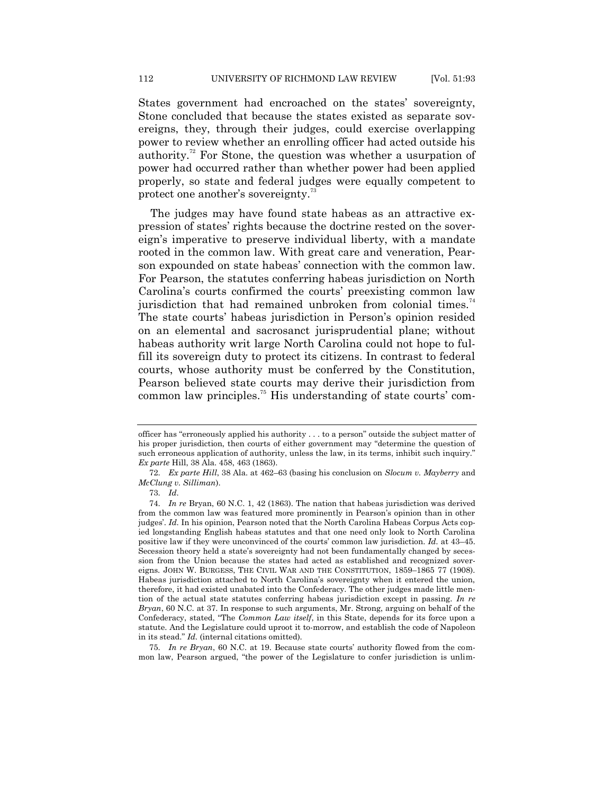States government had encroached on the states' sovereignty, Stone concluded that because the states existed as separate sovereigns, they, through their judges, could exercise overlapping power to review whether an enrolling officer had acted outside his authority.<sup>72</sup> For Stone, the question was whether a usurpation of power had occurred rather than whether power had been applied properly, so state and federal judges were equally competent to protect one another's sovereignty.<sup>73</sup>

The judges may have found state habeas as an attractive expression of states' rights because the doctrine rested on the sovereign's imperative to preserve individual liberty, with a mandate rooted in the common law. With great care and veneration, Pearson expounded on state habeas' connection with the common law. For Pearson, the statutes conferring habeas jurisdiction on North Carolina's courts confirmed the courts' preexisting common law jurisdiction that had remained unbroken from colonial times.<sup>74</sup> The state courts' habeas jurisdiction in Person's opinion resided on an elemental and sacrosanct jurisprudential plane; without habeas authority writ large North Carolina could not hope to fulfill its sovereign duty to protect its citizens. In contrast to federal courts, whose authority must be conferred by the Constitution, Pearson believed state courts may derive their jurisdiction from common law principles.<sup>75</sup> His understanding of state courts' com-

75. *In re Bryan*, 60 N.C. at 19. Because state courts' authority flowed from the common law, Pearson argued, "the power of the Legislature to confer jurisdiction is unlim-

officer has "erroneously applied his authority  $\dots$  to a person" outside the subject matter of his proper jurisdiction, then courts of either government may "determine the question of such erroneous application of authority, unless the law, in its terms, inhibit such inquiry." *Ex parte* Hill, 38 Ala. 458, 463 (1863).

<sup>72.</sup> *Ex parte Hill*, 38 Ala. at 462–63 (basing his conclusion on *Slocum v. Mayberry* and *McClung v. Silliman*).

<sup>73.</sup> *Id*.

<sup>74.</sup> *In re* Bryan, 60 N.C. 1, 42 (1863). The nation that habeas jurisdiction was derived from the common law was featured more prominently in Pearson's opinion than in other judges'. *Id*. In his opinion, Pearson noted that the North Carolina Habeas Corpus Acts copied longstanding English habeas statutes and that one need only look to North Carolina positive law if they were unconvinced of the courts' common law jurisdiction. *Id.* at 43–45. Secession theory held a state's sovereignty had not been fundamentally changed by secession from the Union because the states had acted as established and recognized sovereigns. JOHN W. BURGESS, THE CIVIL WAR AND THE CONSTITUTION, 1859–1865 77 (1908). Habeas jurisdiction attached to North Carolina's sovereignty when it entered the union, therefore, it had existed unabated into the Confederacy. The other judges made little mention of the actual state statutes conferring habeas jurisdiction except in passing. *In re Bryan*, 60 N.C. at 37. In response to such arguments, Mr. Strong, arguing on behalf of the Confederacy, stated, "The *Common Law itself*, in this State, depends for its force upon a statute. And the Legislature could uproot it to-morrow, and establish the code of Napoleon in its stead." *Id.* (internal citations omitted).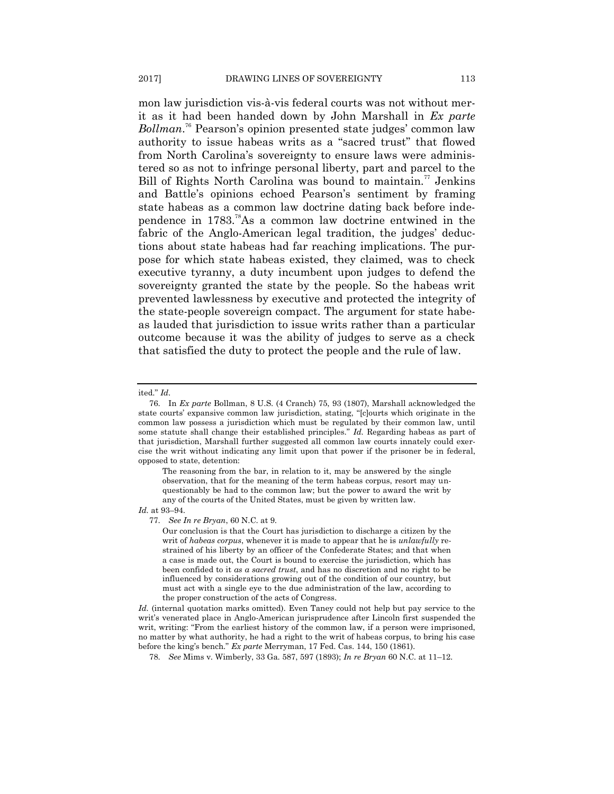mon law jurisdiction vis-à-vis federal courts was not without merit as it had been handed down by John Marshall in *Ex parte Bollman*. <sup>76</sup> Pearson's opinion presented state judges' common law authority to issue habeas writs as a "sacred trust" that flowed from North Carolina's sovereignty to ensure laws were administered so as not to infringe personal liberty, part and parcel to the Bill of Rights North Carolina was bound to maintain.<sup>77</sup> Jenkins and Battle's opinions echoed Pearson's sentiment by framing state habeas as a common law doctrine dating back before independence in  $1783.^{78}$ As a common law doctrine entwined in the fabric of the Anglo-American legal tradition, the judges' deductions about state habeas had far reaching implications. The purpose for which state habeas existed, they claimed, was to check executive tyranny, a duty incumbent upon judges to defend the sovereignty granted the state by the people. So the habeas writ prevented lawlessness by executive and protected the integrity of the state-people sovereign compact. The argument for state habeas lauded that jurisdiction to issue writs rather than a particular outcome because it was the ability of judges to serve as a check that satisfied the duty to protect the people and the rule of law.

#### ited." *Id.*

The reasoning from the bar, in relation to it, may be answered by the single observation, that for the meaning of the term habeas corpus, resort may unquestionably be had to the common law; but the power to award the writ by any of the courts of the United States, must be given by written law.

#### *Id.* at 93–94.

77. *See In re Bryan*, 60 N.C. at 9.

Our conclusion is that the Court has jurisdiction to discharge a citizen by the writ of *habeas corpus*, whenever it is made to appear that he is *unlawfully* restrained of his liberty by an officer of the Confederate States; and that when a case is made out, the Court is bound to exercise the jurisdiction, which has been confided to it *as a sacred trust*, and has no discretion and no right to be influenced by considerations growing out of the condition of our country, but must act with a single eye to the due administration of the law, according to the proper construction of the acts of Congress.

*Id.* (internal quotation marks omitted). Even Taney could not help but pay service to the writ's venerated place in Anglo-American jurisprudence after Lincoln first suspended the writ, writing: "From the earliest history of the common law, if a person were imprisoned, no matter by what authority, he had a right to the writ of habeas corpus, to bring his case before the king's bench.‖ *Ex parte* Merryman, 17 Fed. Cas. 144, 150 (1861).

78. *See* Mims v. Wimberly, 33 Ga. 587, 597 (1893); *In re Bryan* 60 N.C. at 11–12.

<sup>76.</sup> In *Ex parte* Bollman, 8 U.S. (4 Cranch) 75, 93 (1807), Marshall acknowledged the state courts' expansive common law jurisdiction, stating, "[c]ourts which originate in the common law possess a jurisdiction which must be regulated by their common law, until some statute shall change their established principles." *Id.* Regarding habeas as part of that jurisdiction, Marshall further suggested all common law courts innately could exercise the writ without indicating any limit upon that power if the prisoner be in federal, opposed to state, detention: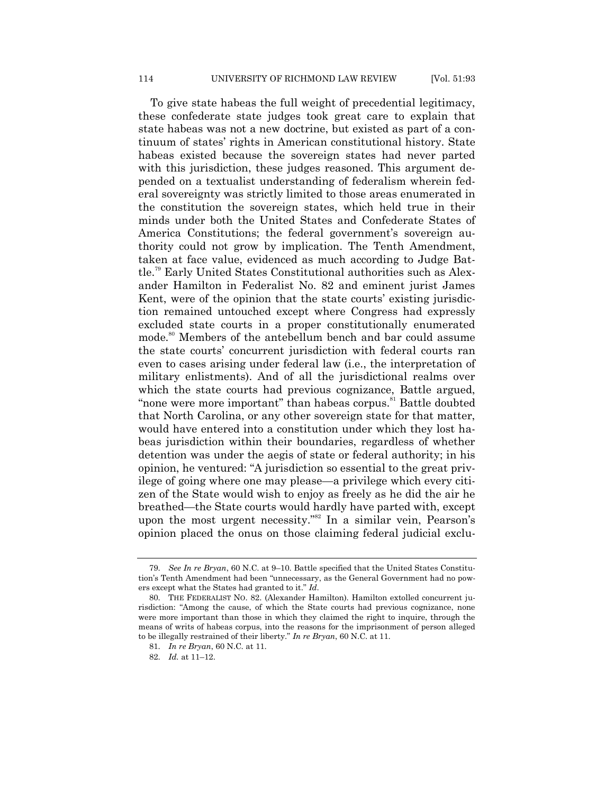To give state habeas the full weight of precedential legitimacy, these confederate state judges took great care to explain that state habeas was not a new doctrine, but existed as part of a continuum of states' rights in American constitutional history. State habeas existed because the sovereign states had never parted with this jurisdiction, these judges reasoned. This argument depended on a textualist understanding of federalism wherein federal sovereignty was strictly limited to those areas enumerated in the constitution the sovereign states, which held true in their minds under both the United States and Confederate States of America Constitutions; the federal government's sovereign authority could not grow by implication. The Tenth Amendment, taken at face value, evidenced as much according to Judge Battle.<sup>79</sup> Early United States Constitutional authorities such as Alexander Hamilton in Federalist No. 82 and eminent jurist James Kent, were of the opinion that the state courts' existing jurisdiction remained untouched except where Congress had expressly excluded state courts in a proper constitutionally enumerated mode.<sup>80</sup> Members of the antebellum bench and bar could assume the state courts' concurrent jurisdiction with federal courts ran even to cases arising under federal law (i.e., the interpretation of military enlistments). And of all the jurisdictional realms over which the state courts had previous cognizance, Battle argued, "none were more important" than habeas corpus.<sup>81</sup> Battle doubted that North Carolina, or any other sovereign state for that matter, would have entered into a constitution under which they lost habeas jurisdiction within their boundaries, regardless of whether detention was under the aegis of state or federal authority; in his opinion, he ventured: ―A jurisdiction so essential to the great privilege of going where one may please—a privilege which every citizen of the State would wish to enjoy as freely as he did the air he breathed—the State courts would hardly have parted with, except upon the most urgent necessity."<sup>82</sup> In a similar vein, Pearson's opinion placed the onus on those claiming federal judicial exclu-

<sup>79.</sup> *See In re Bryan*, 60 N.C. at 9–10. Battle specified that the United States Constitution's Tenth Amendment had been "unnecessary, as the General Government had no powers except what the States had granted to it." *Id*.

<sup>80.</sup> THE FEDERALIST NO. 82. (Alexander Hamilton). Hamilton extolled concurrent jurisdiction: "Among the cause, of which the State courts had previous cognizance, none were more important than those in which they claimed the right to inquire, through the means of writs of habeas corpus, into the reasons for the imprisonment of person alleged to be illegally restrained of their liberty.‖ *In re Bryan*, 60 N.C. at 11.

<sup>81.</sup> *In re Bryan*, 60 N.C. at 11.

<sup>82.</sup> *Id.* at 11–12.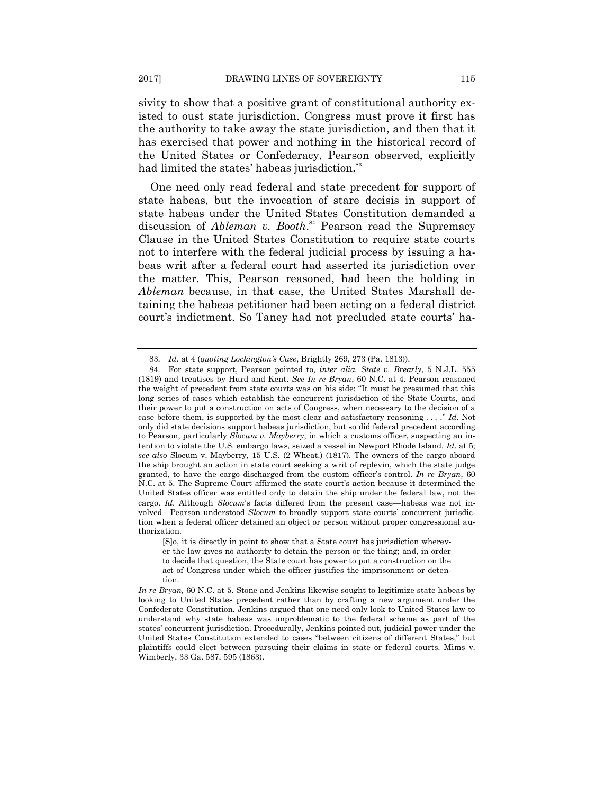sivity to show that a positive grant of constitutional authority existed to oust state jurisdiction. Congress must prove it first has the authority to take away the state jurisdiction, and then that it has exercised that power and nothing in the historical record of the United States or Confederacy, Pearson observed, explicitly had limited the states' habeas jurisdiction.<sup>83</sup>

One need only read federal and state precedent for support of state habeas, but the invocation of stare decisis in support of state habeas under the United States Constitution demanded a discussion of *Ableman v. Booth*.<sup>84</sup> Pearson read the Supremacy Clause in the United States Constitution to require state courts not to interfere with the federal judicial process by issuing a habeas writ after a federal court had asserted its jurisdiction over the matter. This, Pearson reasoned, had been the holding in *Ableman* because, in that case, the United States Marshall detaining the habeas petitioner had been acting on a federal district court's indictment. So Taney had not precluded state courts' ha-

<sup>83.</sup> *Id.* at 4 (*quoting Lockington's Case*, Brightly 269, 273 (Pa. 1813)).

<sup>84.</sup> For state support, Pearson pointed to*, inter alia, State v. Brearly*, 5 N.J.L. 555 (1819) and treatises by Hurd and Kent. *See In re Bryan*, 60 N.C. at 4. Pearson reasoned the weight of precedent from state courts was on his side: "It must be presumed that this long series of cases which establish the concurrent jurisdiction of the State Courts, and their power to put a construction on acts of Congress, when necessary to the decision of a case before them, is supported by the most clear and satisfactory reasoning . . . ." *Id*. Not only did state decisions support habeas jurisdiction, but so did federal precedent according to Pearson, particularly *Slocum v. Mayberry*, in which a customs officer, suspecting an intention to violate the U.S. embargo laws, seized a vessel in Newport Rhode Island. *Id*. at 5; *see also* Slocum v. Mayberry, 15 U.S. (2 Wheat.) (1817). The owners of the cargo aboard the ship brought an action in state court seeking a writ of replevin, which the state judge granted, to have the cargo discharged from the custom officer's control. *In re Bryan*, 60 N.C. at 5. The Supreme Court affirmed the state court's action because it determined the United States officer was entitled only to detain the ship under the federal law, not the cargo. *Id*. Although *Slocum*'s facts differed from the present case—habeas was not involved—Pearson understood *Slocum* to broadly support state courts' concurrent jurisdiction when a federal officer detained an object or person without proper congressional authorization.

<sup>[</sup>S]o, it is directly in point to show that a State court has jurisdiction wherever the law gives no authority to detain the person or the thing; and, in order to decide that question, the State court has power to put a construction on the act of Congress under which the officer justifies the imprisonment or detention.

*In re Bryan*, 60 N.C. at 5. Stone and Jenkins likewise sought to legitimize state habeas by looking to United States precedent rather than by crafting a new argument under the Confederate Constitution. Jenkins argued that one need only look to United States law to understand why state habeas was unproblematic to the federal scheme as part of the states' concurrent jurisdiction. Procedurally, Jenkins pointed out, judicial power under the United States Constitution extended to cases "between citizens of different States," but plaintiffs could elect between pursuing their claims in state or federal courts. Mims v. Wimberly, 33 Ga. 587, 595 (1863).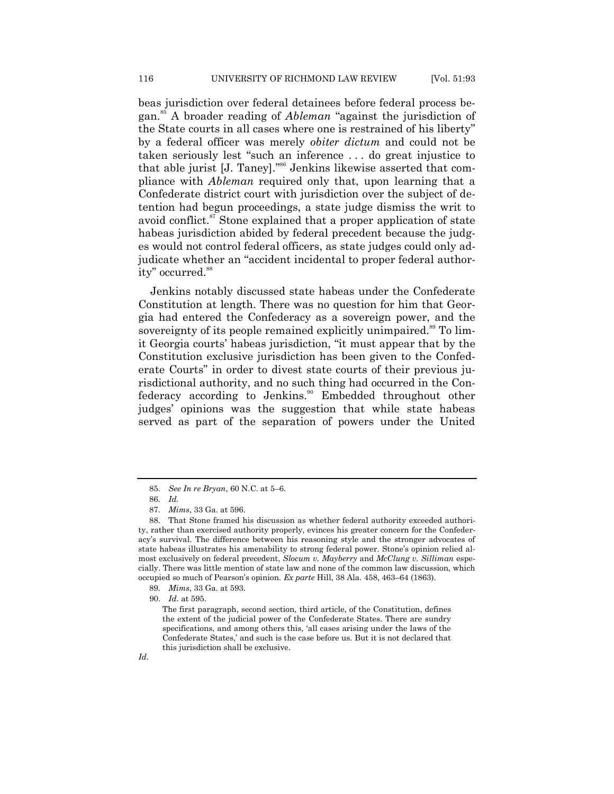beas jurisdiction over federal detainees before federal process began.<sup>85</sup> A broader reading of *Ableman* "against the jurisdiction of the State courts in all cases where one is restrained of his liberty" by a federal officer was merely *obiter dictum* and could not be taken seriously lest "such an inference ... do great injustice to that able jurist [J. Taney]."<sup>86</sup> Jenkins likewise asserted that compliance with *Ableman* required only that, upon learning that a Confederate district court with jurisdiction over the subject of detention had begun proceedings, a state judge dismiss the writ to avoid conflict.<sup>87</sup> Stone explained that a proper application of state habeas jurisdiction abided by federal precedent because the judges would not control federal officers, as state judges could only adjudicate whether an "accident incidental to proper federal authority" occurred.<sup>88</sup>

Jenkins notably discussed state habeas under the Confederate Constitution at length. There was no question for him that Georgia had entered the Confederacy as a sovereign power, and the sovereignty of its people remained explicitly unimpaired.<sup>89</sup> To limit Georgia courts' habeas jurisdiction, "it must appear that by the Constitution exclusive jurisdiction has been given to the Confederate Courts" in order to divest state courts of their previous jurisdictional authority, and no such thing had occurred in the Confederacy according to Jenkins.<sup>90</sup> Embedded throughout other judges' opinions was the suggestion that while state habeas served as part of the separation of powers under the United

89. *Mims*, 33 Ga. at 593.

<sup>85.</sup> *See In re Bryan*, 60 N.C. at 5–6.

<sup>86.</sup> *Id.*

<sup>87.</sup> *Mims*, 33 Ga. at 596.

<sup>88.</sup> That Stone framed his discussion as whether federal authority exceeded authority, rather than exercised authority properly, evinces his greater concern for the Confederacy's survival. The difference between his reasoning style and the stronger advocates of state habeas illustrates his amenability to strong federal power. Stone's opinion relied almost exclusively on federal precedent, *Slocum v. Mayberry* and *McClung v. Silliman* especially. There was little mention of state law and none of the common law discussion, which occupied so much of Pearson's opinion. *Ex parte* Hill, 38 Ala. 458, 463–64 (1863).

<sup>90.</sup> *Id*. at 595.

The first paragraph, second section, third article, of the Constitution, defines the extent of the judicial power of the Confederate States. There are sundry specifications, and among others this, 'all cases arising under the laws of the Confederate States,' and such is the case before us. But it is not declared that this jurisdiction shall be exclusive.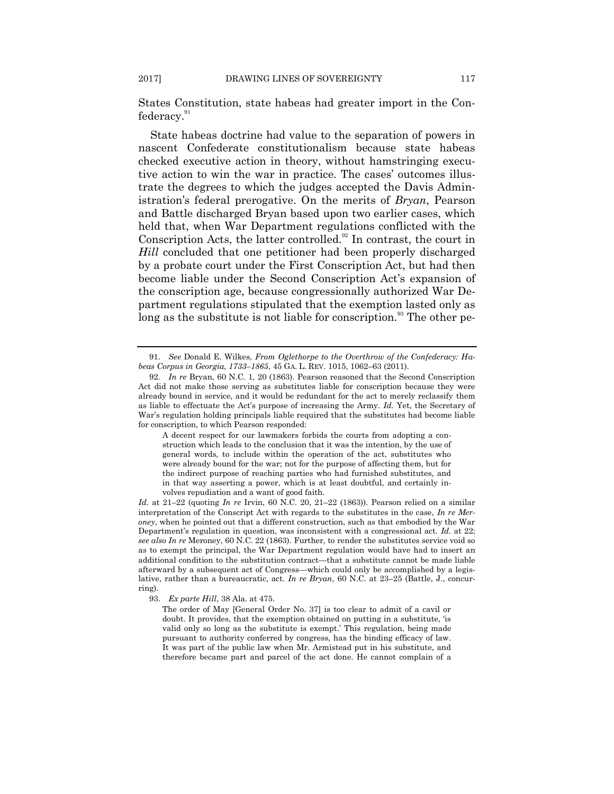States Constitution, state habeas had greater import in the Confederacy.<sup>91</sup>

State habeas doctrine had value to the separation of powers in nascent Confederate constitutionalism because state habeas checked executive action in theory, without hamstringing executive action to win the war in practice. The cases' outcomes illustrate the degrees to which the judges accepted the Davis Administration's federal prerogative. On the merits of *Bryan*, Pearson and Battle discharged Bryan based upon two earlier cases, which held that, when War Department regulations conflicted with the Conscription Acts, the latter controlled.<sup>92</sup> In contrast, the court in *Hill* concluded that one petitioner had been properly discharged by a probate court under the First Conscription Act, but had then become liable under the Second Conscription Act's expansion of the conscription age, because congressionally authorized War Department regulations stipulated that the exemption lasted only as  $\log$  as the substitute is not liable for conscription.<sup>93</sup> The other pe-

A decent respect for our lawmakers forbids the courts from adopting a construction which leads to the conclusion that it was the intention, by the use of general words, to include within the operation of the act, substitutes who were already bound for the war; not for the purpose of affecting them, but for the indirect purpose of reaching parties who had furnished substitutes, and in that way asserting a power, which is at least doubtful, and certainly involves repudiation and a want of good faith.

*Id.* at 21–22 (quoting *In re* Irvin, 60 N.C. 20, 21–22 (1863)). Pearson relied on a similar interpretation of the Conscript Act with regards to the substitutes in the case, *In re Meroney*, when he pointed out that a different construction, such as that embodied by the War Department's regulation in question, was inconsistent with a congressional act. *Id.* at 22; *see also In re* Meroney, 60 N.C. 22 (1863). Further, to render the substitutes service void so as to exempt the principal, the War Department regulation would have had to insert an additional condition to the substitution contract—that a substitute cannot be made liable afterward by a subsequent act of Congress—which could only be accomplished by a legislative, rather than a bureaucratic, act. *In re Bryan*, 60 N.C. at 23–25 (Battle, J., concurring).

93. *Ex parte Hill*, 38 Ala. at 475.

The order of May [General Order No. 37] is too clear to admit of a cavil or doubt. It provides, that the exemption obtained on putting in a substitute, 'is valid only so long as the substitute is exempt.' This regulation, being made pursuant to authority conferred by congress, has the binding efficacy of law. It was part of the public law when Mr. Armistead put in his substitute, and therefore became part and parcel of the act done. He cannot complain of a

<sup>91.</sup> *See* Donald E. Wilkes, *From Oglethorpe to the Overthrow of the Confederacy: Habeas Corpus in Georgia, 1733–1865*, 45 GA. L. REV. 1015, 1062–63 (2011).

<sup>92.</sup> *In re* Bryan, 60 N.C. 1, 20 (1863). Pearson reasoned that the Second Conscription Act did not make those serving as substitutes liable for conscription because they were already bound in service, and it would be redundant for the act to merely reclassify them as liable to effectuate the Act's purpose of increasing the Army. *Id.* Yet, the Secretary of War's regulation holding principals liable required that the substitutes had become liable for conscription, to which Pearson responded: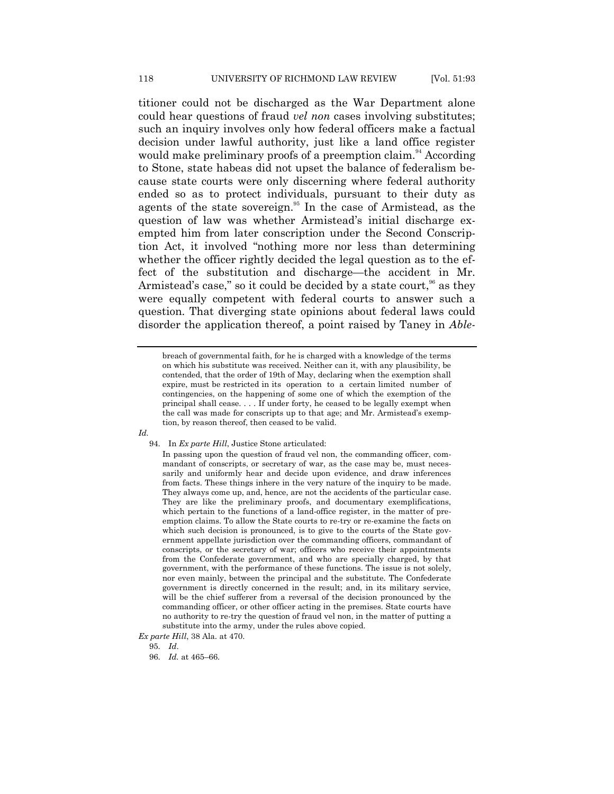titioner could not be discharged as the War Department alone could hear questions of fraud *vel non* cases involving substitutes; such an inquiry involves only how federal officers make a factual decision under lawful authority, just like a land office register would make preliminary proofs of a preemption claim.<sup>94</sup> According to Stone, state habeas did not upset the balance of federalism because state courts were only discerning where federal authority ended so as to protect individuals, pursuant to their duty as agents of the state sovereign.<sup>95</sup> In the case of Armistead, as the question of law was whether Armistead's initial discharge exempted him from later conscription under the Second Conscription Act, it involved "nothing more nor less than determining whether the officer rightly decided the legal question as to the effect of the substitution and discharge—the accident in Mr. Armistead's case," so it could be decided by a state court,<sup>96</sup> as they were equally competent with federal courts to answer such a question. That diverging state opinions about federal laws could disorder the application thereof, a point raised by Taney in *Able-*

*Id.* 

94. In *Ex parte Hill*, Justice Stone articulated:

breach of governmental faith, for he is charged with a knowledge of the terms on which his substitute was received. Neither can it, with any plausibility, be contended, that the order of 19th of May, declaring when the exemption shall expire, must be restricted in its operation to a certain limited number of contingencies, on the happening of some one of which the exemption of the principal shall cease. . . . If under forty, he ceased to be legally exempt when the call was made for conscripts up to that age; and Mr. Armistead's exemption, by reason thereof, then ceased to be valid.

In passing upon the question of fraud vel non, the commanding officer, commandant of conscripts, or secretary of war, as the case may be, must necessarily and uniformly hear and decide upon evidence, and draw inferences from facts. These things inhere in the very nature of the inquiry to be made. They always come up, and, hence, are not the accidents of the particular case. They are like the preliminary proofs, and documentary exemplifications, which pertain to the functions of a land-office register, in the matter of preemption claims. To allow the State courts to re-try or re-examine the facts on which such decision is pronounced, is to give to the courts of the State government appellate jurisdiction over the commanding officers, commandant of conscripts, or the secretary of war; officers who receive their appointments from the Confederate government, and who are specially charged, by that government, with the performance of these functions. The issue is not solely, nor even mainly, between the principal and the substitute. The Confederate government is directly concerned in the result; and, in its military service, will be the chief sufferer from a reversal of the decision pronounced by the commanding officer, or other officer acting in the premises. State courts have no authority to re-try the question of fraud vel non, in the matter of putting a substitute into the army, under the rules above copied.

*Ex parte Hill*, 38 Ala. at 470.

<sup>95.</sup> *Id*.

<sup>96.</sup> *Id.* at 465–66.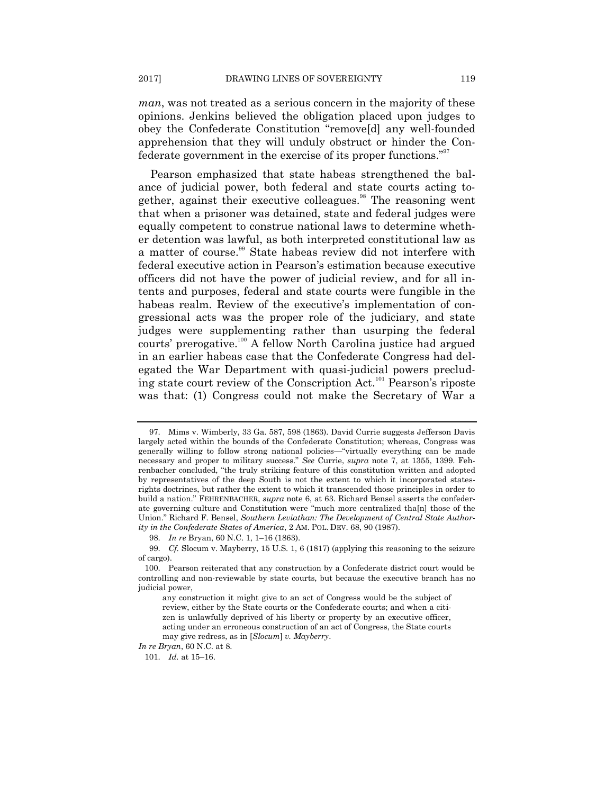*man*, was not treated as a serious concern in the majority of these opinions. Jenkins believed the obligation placed upon judges to obey the Confederate Constitution "remove<sup>[d]</sup> any well-founded apprehension that they will unduly obstruct or hinder the Confederate government in the exercise of its proper functions."<sup>97</sup>

Pearson emphasized that state habeas strengthened the balance of judicial power, both federal and state courts acting together, against their executive colleagues.<sup>98</sup> The reasoning went that when a prisoner was detained, state and federal judges were equally competent to construe national laws to determine whether detention was lawful, as both interpreted constitutional law as a matter of course.<sup>99</sup> State habeas review did not interfere with federal executive action in Pearson's estimation because executive officers did not have the power of judicial review, and for all intents and purposes, federal and state courts were fungible in the habeas realm. Review of the executive's implementation of congressional acts was the proper role of the judiciary, and state judges were supplementing rather than usurping the federal courts' prerogative.<sup>100</sup> A fellow North Carolina justice had argued in an earlier habeas case that the Confederate Congress had delegated the War Department with quasi-judicial powers precluding state court review of the Conscription Act.<sup>101</sup> Pearson's riposte was that: (1) Congress could not make the Secretary of War a

*In re Bryan*, 60 N.C. at 8.

<sup>97.</sup> Mims v. Wimberly, 33 Ga. 587, 598 (1863). David Currie suggests Jefferson Davis largely acted within the bounds of the Confederate Constitution; whereas, Congress was generally willing to follow strong national policies—"virtually everything can be made necessary and proper to military success.‖ *See* Currie, *supra* note 7, at 1355, 1399. Fehrenbacher concluded, "the truly striking feature of this constitution written and adopted by representatives of the deep South is not the extent to which it incorporated statesrights doctrines, but rather the extent to which it transcended those principles in order to build a nation." FEHRENBACHER, *supra* note 6, at 63. Richard Bensel asserts the confederate governing culture and Constitution were "much more centralized tha $[n]$  those of the Union." Richard F. Bensel, *Southern Leviathan: The Development of Central State Authority in the Confederate States of America*, 2 AM. POL. DEV. 68, 90 (1987).

<sup>98.</sup> *In re* Bryan, 60 N.C. 1, 1–16 (1863).

<sup>99.</sup> *Cf.* Slocum v. Mayberry, 15 U.S. 1, 6 (1817) (applying this reasoning to the seizure of cargo).

<sup>100.</sup> Pearson reiterated that any construction by a Confederate district court would be controlling and non-reviewable by state courts, but because the executive branch has no judicial power,

any construction it might give to an act of Congress would be the subject of review, either by the State courts or the Confederate courts; and when a citizen is unlawfully deprived of his liberty or property by an executive officer, acting under an erroneous construction of an act of Congress, the State courts may give redress, as in [*Slocum*] *v. Mayberry*.

<sup>101.</sup> *Id.* at 15–16.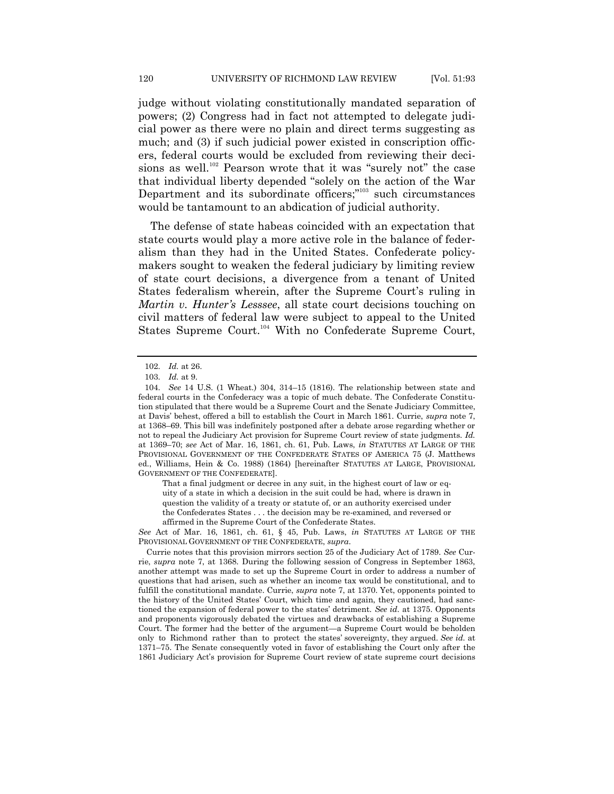judge without violating constitutionally mandated separation of powers; (2) Congress had in fact not attempted to delegate judicial power as there were no plain and direct terms suggesting as much; and (3) if such judicial power existed in conscription officers, federal courts would be excluded from reviewing their decisions as well.<sup>102</sup> Pearson wrote that it was "surely not" the case that individual liberty depended "solely on the action of the War Department and its subordinate officers;"<sup>103</sup> such circumstances would be tantamount to an abdication of judicial authority.

The defense of state habeas coincided with an expectation that state courts would play a more active role in the balance of federalism than they had in the United States. Confederate policymakers sought to weaken the federal judiciary by limiting review of state court decisions, a divergence from a tenant of United States federalism wherein, after the Supreme Court's ruling in *Martin v. Hunter's Lesssee*, all state court decisions touching on civil matters of federal law were subject to appeal to the United States Supreme Court.<sup>104</sup> With no Confederate Supreme Court,

That a final judgment or decree in any suit, in the highest court of law or equity of a state in which a decision in the suit could be had, where is drawn in question the validity of a treaty or statute of, or an authority exercised under the Confederates States . . . the decision may be re-examined, and reversed or affirmed in the Supreme Court of the Confederate States.

*See* Act of Mar. 16, 1861, ch. 61, § 45, Pub. Laws, *in* STATUTES AT LARGE OF THE PROVISIONAL GOVERNMENT OF THE CONFEDERATE, *supra*.

<sup>102.</sup> *Id.* at 26.

<sup>103.</sup> *Id.* at 9.

<sup>104.</sup> *See* 14 U.S. (1 Wheat.) 304, 314–15 (1816). The relationship between state and federal courts in the Confederacy was a topic of much debate. The Confederate Constitution stipulated that there would be a Supreme Court and the Senate Judiciary Committee, at Davis' behest, offered a bill to establish the Court in March 1861. Currie, *supra* note 7, at 1368–69. This bill was indefinitely postponed after a debate arose regarding whether or not to repeal the Judiciary Act provision for Supreme Court review of state judgments. *Id.* at 1369–70; *see* Act of Mar. 16, 1861, ch. 61, Pub. Laws, *in* STATUTES AT LARGE OF THE PROVISIONAL GOVERNMENT OF THE CONFEDERATE STATES OF AMERICA 75 (J. Matthews ed., Williams, Hein & Co. 1988) (1864) [hereinafter STATUTES AT LARGE, PROVISIONAL GOVERNMENT OF THE CONFEDERATE].

Currie notes that this provision mirrors section 25 of the Judiciary Act of 1789. *See* Currie, *supra* note 7, at 1368. During the following session of Congress in September 1863, another attempt was made to set up the Supreme Court in order to address a number of questions that had arisen, such as whether an income tax would be constitutional, and to fulfill the constitutional mandate. Currie, *supra* note 7, at 1370. Yet, opponents pointed to the history of the United States' Court, which time and again, they cautioned, had sanctioned the expansion of federal power to the states' detriment. *See id.* at 1375. Opponents and proponents vigorously debated the virtues and drawbacks of establishing a Supreme Court. The former had the better of the argument—a Supreme Court would be beholden only to Richmond rather than to protect the states' sovereignty, they argued. *See id.* at 1371–75. The Senate consequently voted in favor of establishing the Court only after the 1861 Judiciary Act's provision for Supreme Court review of state supreme court decisions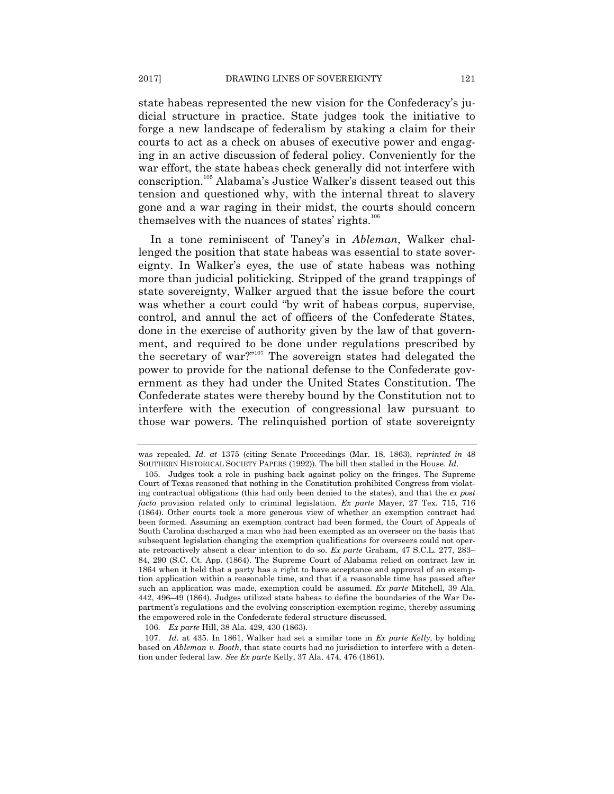state habeas represented the new vision for the Confederacy's judicial structure in practice. State judges took the initiative to forge a new landscape of federalism by staking a claim for their courts to act as a check on abuses of executive power and engaging in an active discussion of federal policy. Conveniently for the war effort, the state habeas check generally did not interfere with conscription.<sup>105</sup> Alabama's Justice Walker's dissent teased out this tension and questioned why, with the internal threat to slavery gone and a war raging in their midst, the courts should concern themselves with the nuances of states' rights.<sup>106</sup>

In a tone reminiscent of Taney's in *Ableman*, Walker challenged the position that state habeas was essential to state sovereignty. In Walker's eyes, the use of state habeas was nothing more than judicial politicking. Stripped of the grand trappings of state sovereignty, Walker argued that the issue before the court was whether a court could "by writ of habeas corpus, supervise, control, and annul the act of officers of the Confederate States, done in the exercise of authority given by the law of that government, and required to be done under regulations prescribed by the secretary of war?"<sup>107</sup> The sovereign states had delegated the power to provide for the national defense to the Confederate government as they had under the United States Constitution. The Confederate states were thereby bound by the Constitution not to interfere with the execution of congressional law pursuant to those war powers. The relinquished portion of state sovereignty

was repealed. *Id. at* 1375 (citing Senate Proceedings (Mar. 18, 1863), *reprinted in* 48 SOUTHERN HISTORICAL SOCIETY PAPERS (1992)). The bill then stalled in the House. *Id*.

<sup>105.</sup> Judges took a role in pushing back against policy on the fringes. The Supreme Court of Texas reasoned that nothing in the Constitution prohibited Congress from violating contractual obligations (this had only been denied to the states), and that the *ex post facto* provision related only to criminal legislation. *Ex parte* Mayer, 27 Tex. 715, 716 (1864). Other courts took a more generous view of whether an exemption contract had been formed. Assuming an exemption contract had been formed, the Court of Appeals of South Carolina discharged a man who had been exempted as an overseer on the basis that subsequent legislation changing the exemption qualifications for overseers could not operate retroactively absent a clear intention to do so. *Ex parte* Graham, 47 S.C.L. 277, 283– 84, 290 (S.C. Ct. App. (1864). The Supreme Court of Alabama relied on contract law in 1864 when it held that a party has a right to have acceptance and approval of an exemption application within a reasonable time, and that if a reasonable time has passed after such an application was made, exemption could be assumed. *Ex parte* Mitchell, 39 Ala. 442, 496–49 (1864). Judges utilized state habeas to define the boundaries of the War Department's regulations and the evolving conscription-exemption regime, thereby assuming the empowered role in the Confederate federal structure discussed.

<sup>106.</sup> *Ex parte* Hill, 38 Ala. 429, 430 (1863).

<sup>107.</sup> *Id.* at 435. In 1861, Walker had set a similar tone in *Ex parte Kelly*, by holding based on *Ableman v. Booth*, that state courts had no jurisdiction to interfere with a detention under federal law. *See Ex parte* Kelly, 37 Ala. 474, 476 (1861).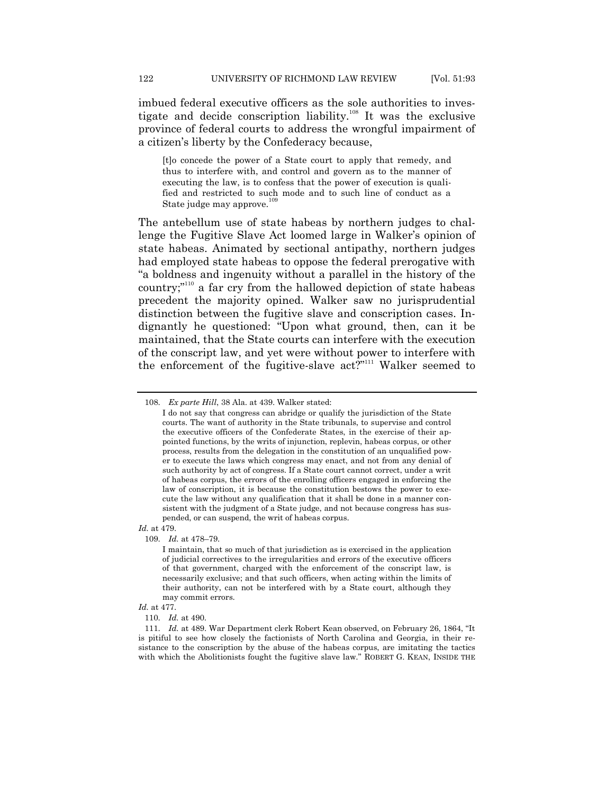imbued federal executive officers as the sole authorities to investigate and decide conscription liability.<sup>108</sup> It was the exclusive province of federal courts to address the wrongful impairment of a citizen's liberty by the Confederacy because,

[t]o concede the power of a State court to apply that remedy, and thus to interfere with, and control and govern as to the manner of executing the law, is to confess that the power of execution is qualified and restricted to such mode and to such line of conduct as a State judge may approve.

The antebellum use of state habeas by northern judges to challenge the Fugitive Slave Act loomed large in Walker's opinion of state habeas. Animated by sectional antipathy, northern judges had employed state habeas to oppose the federal prerogative with ―a boldness and ingenuity without a parallel in the history of the country;"<sup>110</sup> a far cry from the hallowed depiction of state habeas precedent the majority opined. Walker saw no jurisprudential distinction between the fugitive slave and conscription cases. Indignantly he questioned: "Upon what ground, then, can it be maintained, that the State courts can interfere with the execution of the conscript law, and yet were without power to interfere with the enforcement of the fugitive-slave act?"<sup>111</sup> Walker seemed to

*Id.* at 479.

<sup>108.</sup> *Ex parte Hill*, 38 Ala. at 439. Walker stated:

I do not say that congress can abridge or qualify the jurisdiction of the State courts. The want of authority in the State tribunals, to supervise and control the executive officers of the Confederate States, in the exercise of their appointed functions, by the writs of injunction, replevin, habeas corpus, or other process, results from the delegation in the constitution of an unqualified power to execute the laws which congress may enact, and not from any denial of such authority by act of congress. If a State court cannot correct, under a writ of habeas corpus, the errors of the enrolling officers engaged in enforcing the law of conscription, it is because the constitution bestows the power to execute the law without any qualification that it shall be done in a manner consistent with the judgment of a State judge, and not because congress has suspended, or can suspend, the writ of habeas corpus.

<sup>109.</sup> *Id.* at 478–79.

I maintain, that so much of that jurisdiction as is exercised in the application of judicial correctives to the irregularities and errors of the executive officers of that government, charged with the enforcement of the conscript law, is necessarily exclusive; and that such officers, when acting within the limits of their authority, can not be interfered with by a State court, although they may commit errors.

*Id.* at 477.

<sup>110.</sup> *Id.* at 490.

<sup>111.</sup> *Id.* at 489. War Department clerk Robert Kean observed, on February 26, 1864, "It is pitiful to see how closely the factionists of North Carolina and Georgia, in their resistance to the conscription by the abuse of the habeas corpus, are imitating the tactics with which the Abolitionists fought the fugitive slave law." ROBERT G. KEAN, INSIDE THE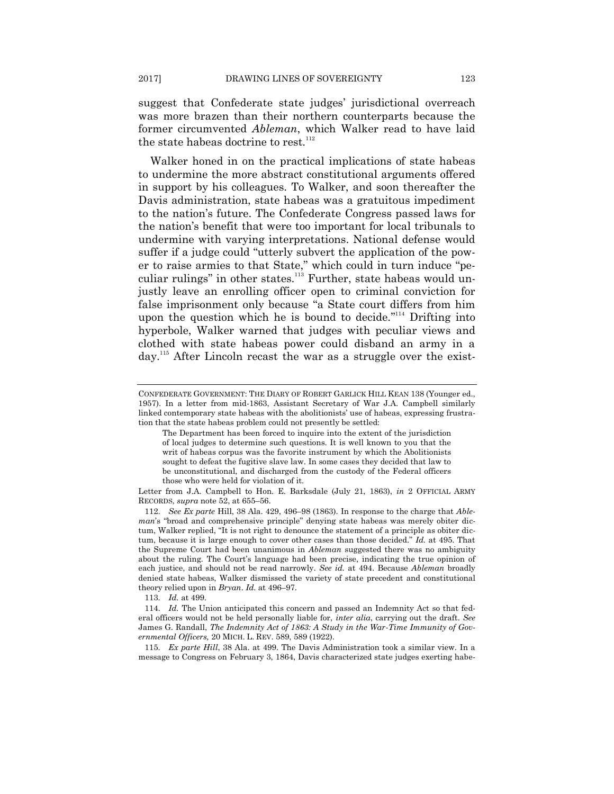suggest that Confederate state judges' jurisdictional overreach was more brazen than their northern counterparts because the former circumvented *Ableman*, which Walker read to have laid the state habeas doctrine to rest. $112$ 

Walker honed in on the practical implications of state habeas to undermine the more abstract constitutional arguments offered in support by his colleagues. To Walker, and soon thereafter the Davis administration, state habeas was a gratuitous impediment to the nation's future. The Confederate Congress passed laws for the nation's benefit that were too important for local tribunals to undermine with varying interpretations. National defense would suffer if a judge could "utterly subvert the application of the power to raise armies to that State," which could in turn induce "peculiar rulings" in other states. $113$  Further, state habeas would unjustly leave an enrolling officer open to criminal conviction for false imprisonment only because "a State court differs from him upon the question which he is bound to decide. $"$ <sup>114</sup> Drifting into hyperbole, Walker warned that judges with peculiar views and clothed with state habeas power could disband an army in a day.<sup>115</sup> After Lincoln recast the war as a struggle over the exist-

Letter from J.A. Campbell to Hon. E. Barksdale (July 21, 1863), *in* 2 OFFICIAL ARMY RECORDS, *supra* note 52, at 655–56.

113. *Id.* at 499.

114. *Id.* The Union anticipated this concern and passed an Indemnity Act so that federal officers would not be held personally liable for, *inter alia*, carrying out the draft. *See*  James G. Randall, *The Indemnity Act of 1863: A Study in the War-Time Immunity of Governmental Officers,* 20 MICH. L. REV. 589, 589 (1922).

115. *Ex parte Hill*, 38 Ala. at 499. The Davis Administration took a similar view. In a message to Congress on February 3, 1864, Davis characterized state judges exerting habe-

CONFEDERATE GOVERNMENT: THE DIARY OF ROBERT GARLICK HILL KEAN 138 (Younger ed., 1957). In a letter from mid-1863, Assistant Secretary of War J.A. Campbell similarly linked contemporary state habeas with the abolitionists' use of habeas, expressing frustration that the state habeas problem could not presently be settled:

The Department has been forced to inquire into the extent of the jurisdiction of local judges to determine such questions. It is well known to you that the writ of habeas corpus was the favorite instrument by which the Abolitionists sought to defeat the fugitive slave law. In some cases they decided that law to be unconstitutional, and discharged from the custody of the Federal officers those who were held for violation of it.

<sup>112.</sup> *See Ex parte* Hill, 38 Ala. 429, 496–98 (1863). In response to the charge that *Ableman*'s "broad and comprehensive principle" denying state habeas was merely obiter dictum, Walker replied, "It is not right to denounce the statement of a principle as obiter dictum, because it is large enough to cover other cases than those decided." Id. at 495. That the Supreme Court had been unanimous in *Ableman* suggested there was no ambiguity about the ruling. The Court's language had been precise, indicating the true opinion of each justice, and should not be read narrowly. *See id.* at 494. Because *Ableman* broadly denied state habeas, Walker dismissed the variety of state precedent and constitutional theory relied upon in *Bryan*. *Id.* at 496–97.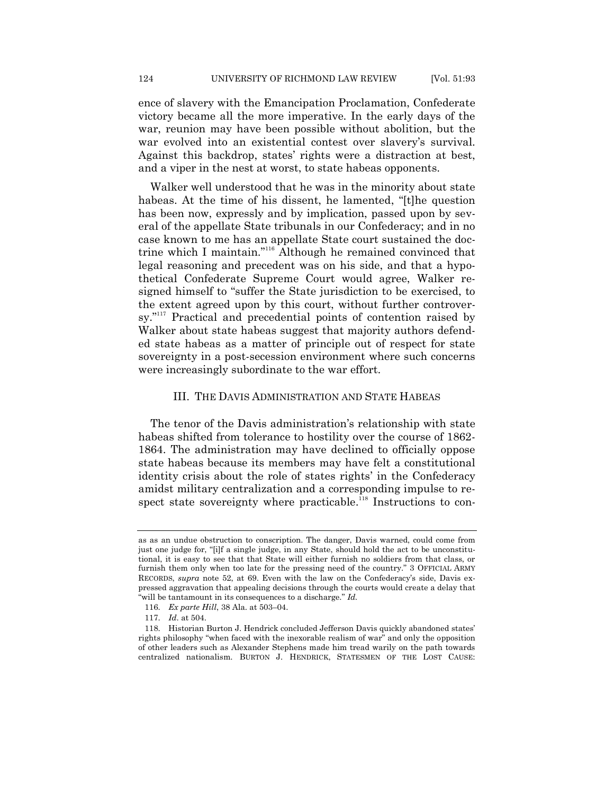ence of slavery with the Emancipation Proclamation, Confederate victory became all the more imperative. In the early days of the war, reunion may have been possible without abolition, but the war evolved into an existential contest over slavery's survival. Against this backdrop, states' rights were a distraction at best, and a viper in the nest at worst, to state habeas opponents.

Walker well understood that he was in the minority about state habeas. At the time of his dissent, he lamented, "[t]he question has been now, expressly and by implication, passed upon by several of the appellate State tribunals in our Confederacy; and in no case known to me has an appellate State court sustained the doctrine which I maintain."<sup>116</sup> Although he remained convinced that legal reasoning and precedent was on his side, and that a hypothetical Confederate Supreme Court would agree, Walker resigned himself to "suffer the State jurisdiction to be exercised, to the extent agreed upon by this court, without further controversy."<sup>117</sup> Practical and precedential points of contention raised by Walker about state habeas suggest that majority authors defended state habeas as a matter of principle out of respect for state sovereignty in a post-secession environment where such concerns were increasingly subordinate to the war effort.

## III. THE DAVIS ADMINISTRATION AND STATE HABEAS

The tenor of the Davis administration's relationship with state habeas shifted from tolerance to hostility over the course of 1862- 1864. The administration may have declined to officially oppose state habeas because its members may have felt a constitutional identity crisis about the role of states rights' in the Confederacy amidst military centralization and a corresponding impulse to respect state sovereignty where practicable.<sup>118</sup> Instructions to con-

as as an undue obstruction to conscription. The danger, Davis warned, could come from just one judge for, "[i]f a single judge, in any State, should hold the act to be unconstitutional, it is easy to see that that State will either furnish no soldiers from that class, or furnish them only when too late for the pressing need of the country." 3 OFFICIAL ARMY RECORDS, *supra* note 52, at 69. Even with the law on the Confederacy's side, Davis expressed aggravation that appealing decisions through the courts would create a delay that "will be tantamount in its consequences to a discharge." *Id.* 

<sup>116.</sup> *Ex parte Hill*, 38 Ala. at 503–04.

<sup>117.</sup> *Id*. at 504.

<sup>118.</sup> Historian Burton J. Hendrick concluded Jefferson Davis quickly abandoned states' rights philosophy "when faced with the inexorable realism of war" and only the opposition of other leaders such as Alexander Stephens made him tread warily on the path towards centralized nationalism. BURTON J. HENDRICK, STATESMEN OF THE LOST CAUSE: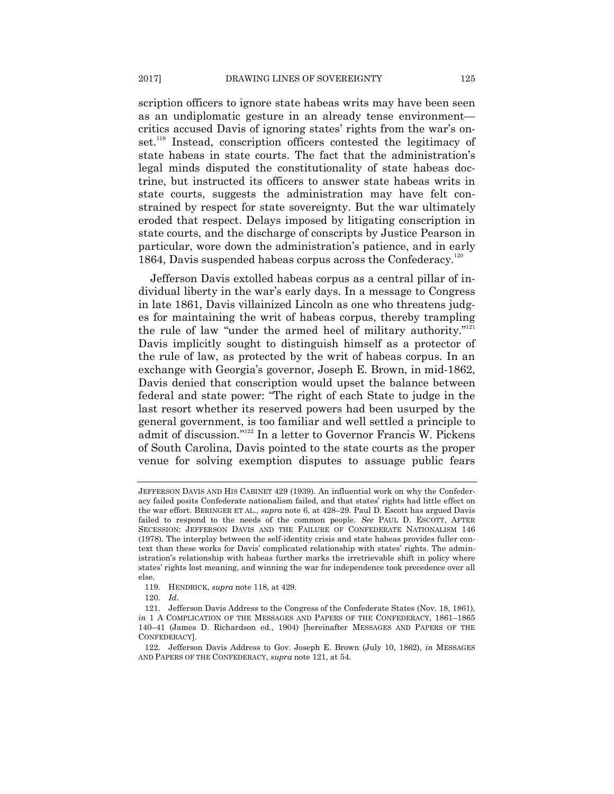scription officers to ignore state habeas writs may have been seen as an undiplomatic gesture in an already tense environment critics accused Davis of ignoring states' rights from the war's onset.<sup>119</sup> Instead, conscription officers contested the legitimacy of state habeas in state courts. The fact that the administration's legal minds disputed the constitutionality of state habeas doctrine, but instructed its officers to answer state habeas writs in state courts, suggests the administration may have felt constrained by respect for state sovereignty. But the war ultimately eroded that respect. Delays imposed by litigating conscription in state courts, and the discharge of conscripts by Justice Pearson in particular, wore down the administration's patience, and in early 1864, Davis suspended habeas corpus across the Confederacy.<sup>120</sup>

Jefferson Davis extolled habeas corpus as a central pillar of individual liberty in the war's early days. In a message to Congress in late 1861, Davis villainized Lincoln as one who threatens judges for maintaining the writ of habeas corpus, thereby trampling the rule of law "under the armed heel of military authority."<sup>121</sup> Davis implicitly sought to distinguish himself as a protector of the rule of law, as protected by the writ of habeas corpus. In an exchange with Georgia's governor, Joseph E. Brown, in mid-1862, Davis denied that conscription would upset the balance between federal and state power: "The right of each State to judge in the last resort whether its reserved powers had been usurped by the general government, is too familiar and well settled a principle to admit of discussion."<sup>122</sup> In a letter to Governor Francis W. Pickens of South Carolina, Davis pointed to the state courts as the proper venue for solving exemption disputes to assuage public fears

119. HENDRICK, *supra* note 118, at 429.

JEFFERSON DAVIS AND HIS CABINET 429 (1939). An influential work on why the Confederacy failed posits Confederate nationalism failed, and that states' rights had little effect on the war effort. BERINGER ET AL., *supra* note 6, at 428–29. Paul D. Escott has argued Davis failed to respond to the needs of the common people. *See* PAUL D. ESCOTT, AFTER SECESSION: JEFFERSON DAVIS AND THE FAILURE OF CONFEDERATE NATIONALISM 146 (1978). The interplay between the self-identity crisis and state habeas provides fuller context than these works for Davis' complicated relationship with states' rights. The administration's relationship with habeas further marks the irretrievable shift in policy where states' rights lost meaning, and winning the war for independence took precedence over all else.

<sup>120.</sup> *Id*.

<sup>121.</sup> Jefferson Davis Address to the Congress of the Confederate States (Nov. 18, 1861), *in* 1 A COMPLICATION OF THE MESSAGES AND PAPERS OF THE CONFEDERACY, 1861–1865 140–41 (James D. Richardson ed., 1904) [hereinafter MESSAGES AND PAPERS OF THE CONFEDERACY].

<sup>122.</sup> Jefferson Davis Address to Gov. Joseph E. Brown (July 10, 1862), *in* MESSAGES AND PAPERS OF THE CONFEDERACY, *supra* note 121, at 54.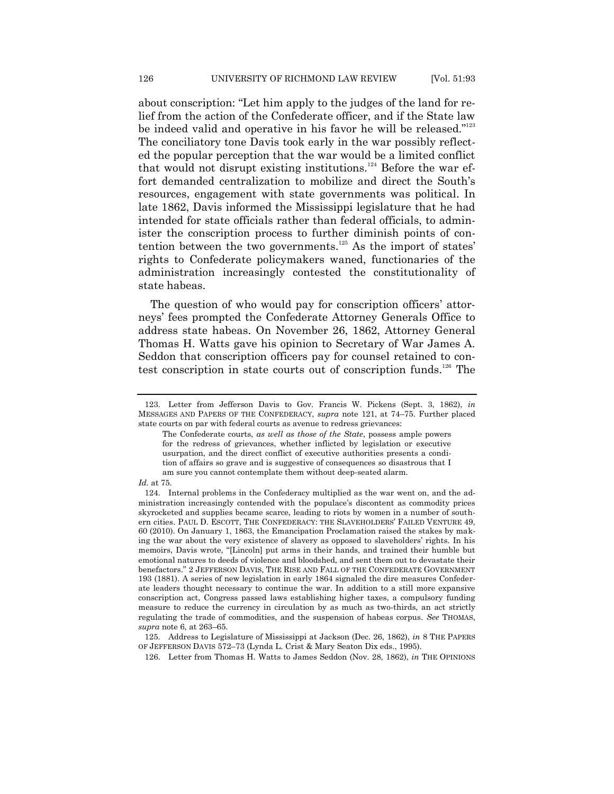about conscription: "Let him apply to the judges of the land for relief from the action of the Confederate officer, and if the State law be indeed valid and operative in his favor he will be released."<sup>123</sup> The conciliatory tone Davis took early in the war possibly reflected the popular perception that the war would be a limited conflict that would not disrupt existing institutions.<sup>124</sup> Before the war effort demanded centralization to mobilize and direct the South's resources, engagement with state governments was political. In late 1862, Davis informed the Mississippi legislature that he had intended for state officials rather than federal officials, to administer the conscription process to further diminish points of contention between the two governments.<sup>125</sup> As the import of states' rights to Confederate policymakers waned, functionaries of the administration increasingly contested the constitutionality of state habeas.

The question of who would pay for conscription officers' attorneys' fees prompted the Confederate Attorney Generals Office to address state habeas. On November 26, 1862, Attorney General Thomas H. Watts gave his opinion to Secretary of War James A. Seddon that conscription officers pay for counsel retained to contest conscription in state courts out of conscription funds.<sup>126</sup> The

#### *Id.* at 75.

<sup>123.</sup> Letter from Jefferson Davis to Gov. Francis W. Pickens (Sept. 3, 1862), *in* MESSAGES AND PAPERS OF THE CONFEDERACY, *supra* note 121, at 74–75. Further placed state courts on par with federal courts as avenue to redress grievances:

The Confederate courts, *as well as those of the State*, possess ample powers for the redress of grievances, whether inflicted by legislation or executive usurpation, and the direct conflict of executive authorities presents a condition of affairs so grave and is suggestive of consequences so disastrous that I am sure you cannot contemplate them without deep-seated alarm.

<sup>124.</sup> Internal problems in the Confederacy multiplied as the war went on, and the administration increasingly contended with the populace's discontent as commodity prices skyrocketed and supplies became scarce, leading to riots by women in a number of southern cities. PAUL D. ESCOTT, THE CONFEDERACY: THE SLAVEHOLDERS' FAILED VENTURE 49, 60 (2010). On January 1, 1863, the Emancipation Proclamation raised the stakes by making the war about the very existence of slavery as opposed to slaveholders' rights. In his memoirs, Davis wrote, "[Lincoln] put arms in their hands, and trained their humble but emotional natures to deeds of violence and bloodshed, and sent them out to devastate their benefactors." 2 JEFFERSON DAVIS, THE RISE AND FALL OF THE CONFEDERATE GOVERNMENT 193 (1881). A series of new legislation in early 1864 signaled the dire measures Confederate leaders thought necessary to continue the war. In addition to a still more expansive conscription act, Congress passed laws establishing higher taxes, a compulsory funding measure to reduce the currency in circulation by as much as two-thirds, an act strictly regulating the trade of commodities, and the suspension of habeas corpus. *See* THOMAS, *supra* note 6, at 263–65.

<sup>125.</sup> Address to Legislature of Mississippi at Jackson (Dec. 26, 1862), *in* 8 THE PAPERS OF JEFFERSON DAVIS 572–73 (Lynda L. Crist & Mary Seaton Dix eds., 1995).

<sup>126.</sup> Letter from Thomas H. Watts to James Seddon (Nov. 28, 1862), *in* THE OPINIONS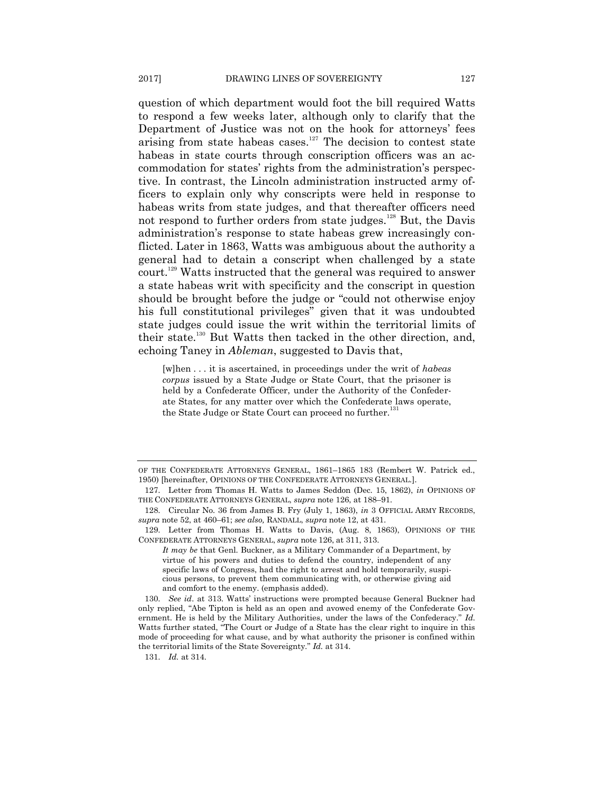question of which department would foot the bill required Watts to respond a few weeks later, although only to clarify that the Department of Justice was not on the hook for attorneys' fees arising from state habeas cases.<sup>127</sup> The decision to contest state habeas in state courts through conscription officers was an accommodation for states' rights from the administration's perspective. In contrast, the Lincoln administration instructed army officers to explain only why conscripts were held in response to habeas writs from state judges, and that thereafter officers need not respond to further orders from state judges.<sup>128</sup> But, the Davis administration's response to state habeas grew increasingly conflicted. Later in 1863, Watts was ambiguous about the authority a general had to detain a conscript when challenged by a state court.<sup>129</sup> Watts instructed that the general was required to answer a state habeas writ with specificity and the conscript in question should be brought before the judge or "could not otherwise enjoy" his full constitutional privileges" given that it was undoubted state judges could issue the writ within the territorial limits of their state.<sup>130</sup> But Watts then tacked in the other direction, and, echoing Taney in *Ableman*, suggested to Davis that,

[w]hen . . . it is ascertained, in proceedings under the writ of *habeas corpus* issued by a State Judge or State Court, that the prisoner is held by a Confederate Officer, under the Authority of the Confederate States, for any matter over which the Confederate laws operate, the State Judge or State Court can proceed no further.<sup>131</sup>

OF THE CONFEDERATE ATTORNEYS GENERAL, 1861–1865 183 (Rembert W. Patrick ed., 1950) [hereinafter, OPINIONS OF THE CONFEDERATE ATTORNEYS GENERAL.].

<sup>127.</sup> Letter from Thomas H. Watts to James Seddon (Dec. 15, 1862), *in* OPINIONS OF THE CONFEDERATE ATTORNEYS GENERAL, *supra* note 126, at 188–91.

<sup>128.</sup> Circular No. 36 from James B. Fry (July 1, 1863), *in* 3 OFFICIAL ARMY RECORDS, *supra* note 52, at 460–61; *see also,* RANDALL, *supra* note 12, at 431.

<sup>129.</sup> Letter from Thomas H. Watts to Davis, (Aug. 8, 1863), OPINIONS OF THE CONFEDERATE ATTORNEYS GENERAL, *supra* note 126, at 311, 313.

*It may be* that Genl. Buckner, as a Military Commander of a Department, by virtue of his powers and duties to defend the country, independent of any specific laws of Congress, had the right to arrest and hold temporarily, suspicious persons, to prevent them communicating with, or otherwise giving aid and comfort to the enemy. (emphasis added).

<sup>130.</sup> *See id*. at 313. Watts' instructions were prompted because General Buckner had only replied, "Abe Tipton is held as an open and avowed enemy of the Confederate Government. He is held by the Military Authorities, under the laws of the Confederacy." Id. Watts further stated, "The Court or Judge of a State has the clear right to inquire in this mode of proceeding for what cause, and by what authority the prisoner is confined within the territorial limits of the State Sovereignty." *Id.* at 314.

<sup>131.</sup> *Id.* at 314.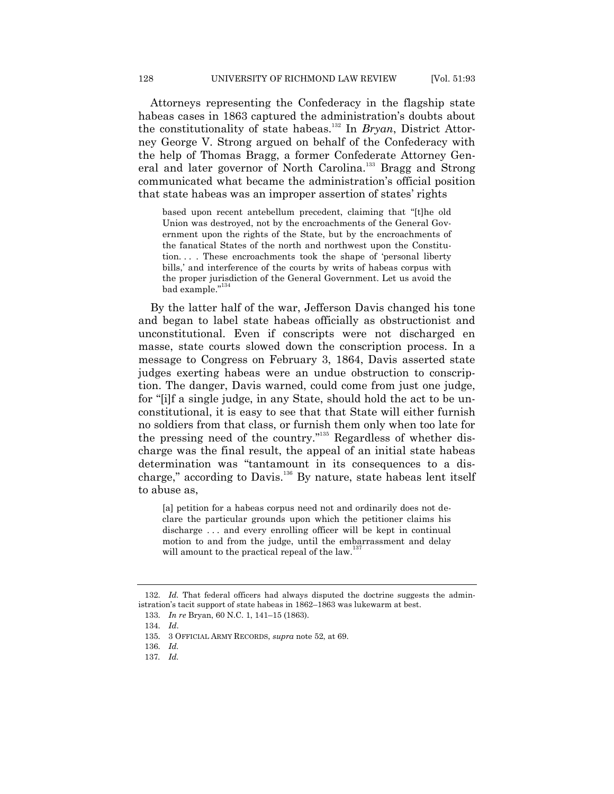Attorneys representing the Confederacy in the flagship state habeas cases in 1863 captured the administration's doubts about the constitutionality of state habeas.<sup>132</sup> In *Bryan*, District Attorney George V. Strong argued on behalf of the Confederacy with the help of Thomas Bragg, a former Confederate Attorney General and later governor of North Carolina.<sup>133</sup> Bragg and Strong communicated what became the administration's official position that state habeas was an improper assertion of states' rights

based upon recent antebellum precedent, claiming that "[t]he old Union was destroyed, not by the encroachments of the General Government upon the rights of the State, but by the encroachments of the fanatical States of the north and northwest upon the Constitution.... These encroachments took the shape of 'personal liberty bills,' and interference of the courts by writs of habeas corpus with the proper jurisdiction of the General Government. Let us avoid the bad example." 134

By the latter half of the war, Jefferson Davis changed his tone and began to label state habeas officially as obstructionist and unconstitutional. Even if conscripts were not discharged en masse, state courts slowed down the conscription process. In a message to Congress on February 3, 1864, Davis asserted state judges exerting habeas were an undue obstruction to conscription. The danger, Davis warned, could come from just one judge, for "filf a single judge, in any State, should hold the act to be unconstitutional, it is easy to see that that State will either furnish no soldiers from that class, or furnish them only when too late for the pressing need of the country."<sup>35</sup> Regardless of whether discharge was the final result, the appeal of an initial state habeas determination was "tantamount in its consequences to a discharge," according to Davis.<sup>136</sup> By nature, state habeas lent itself to abuse as,

[a] petition for a habeas corpus need not and ordinarily does not declare the particular grounds upon which the petitioner claims his discharge . . . and every enrolling officer will be kept in continual motion to and from the judge, until the embarrassment and delay will amount to the practical repeal of the law.<sup>1</sup>

<sup>132.</sup> *Id.* That federal officers had always disputed the doctrine suggests the administration's tacit support of state habeas in 1862–1863 was lukewarm at best.

<sup>133.</sup> *In re* Bryan, 60 N.C. 1, 141–15 (1863).

<sup>134.</sup> *Id*.

<sup>135.</sup> 3 OFFICIAL ARMY RECORDS, *supra* note 52, at 69.

<sup>136.</sup> *Id.*

<sup>137</sup>*. Id.*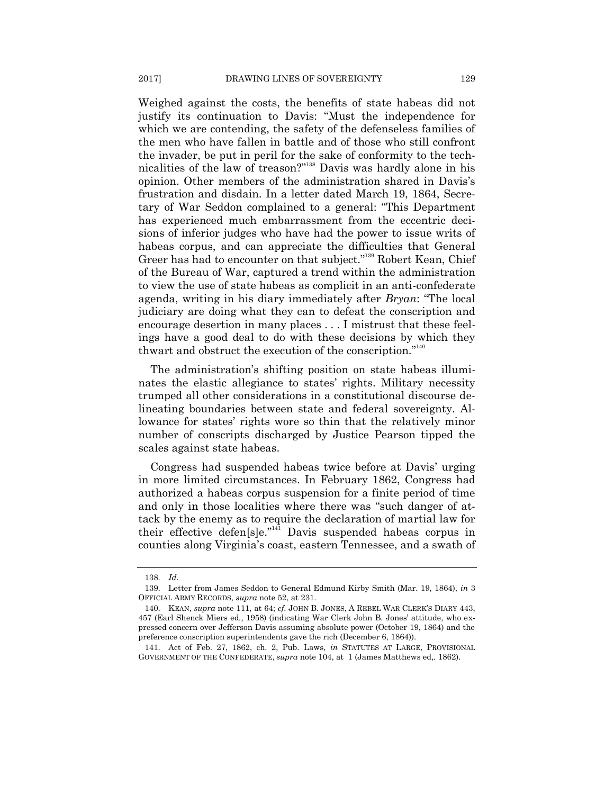Weighed against the costs, the benefits of state habeas did not justify its continuation to Davis: "Must the independence for which we are contending, the safety of the defenseless families of the men who have fallen in battle and of those who still confront the invader, be put in peril for the sake of conformity to the technicalities of the law of treason?"<sup>138</sup> Davis was hardly alone in his opinion. Other members of the administration shared in Davis's frustration and disdain. In a letter dated March 19, 1864, Secretary of War Seddon complained to a general: "This Department has experienced much embarrassment from the eccentric decisions of inferior judges who have had the power to issue writs of habeas corpus, and can appreciate the difficulties that General Greer has had to encounter on that subject."<sup>139</sup> Robert Kean, Chief of the Bureau of War, captured a trend within the administration to view the use of state habeas as complicit in an anti-confederate agenda, writing in his diary immediately after *Bryan*: "The local judiciary are doing what they can to defeat the conscription and encourage desertion in many places . . . I mistrust that these feelings have a good deal to do with these decisions by which they thwart and obstruct the execution of the conscription." $140$ 

The administration's shifting position on state habeas illuminates the elastic allegiance to states' rights. Military necessity trumped all other considerations in a constitutional discourse delineating boundaries between state and federal sovereignty. Allowance for states' rights wore so thin that the relatively minor number of conscripts discharged by Justice Pearson tipped the scales against state habeas.

Congress had suspended habeas twice before at Davis' urging in more limited circumstances. In February 1862, Congress had authorized a habeas corpus suspension for a finite period of time and only in those localities where there was "such danger of attack by the enemy as to require the declaration of martial law for their effective defen[s]e."<sup>141</sup> Davis suspended habeas corpus in counties along Virginia's coast, eastern Tennessee, and a swath of

<sup>138.</sup> *Id.*

<sup>139.</sup> Letter from James Seddon to General Edmund Kirby Smith (Mar. 19, 1864), *in* 3 OFFICIAL ARMY RECORDS, *supra* note 52, at 231.

<sup>140.</sup> KEAN, *supra* note 111, at 64; *cf*. JOHN B. JONES, A REBEL WAR CLERK'S DIARY 443, 457 (Earl Shenck Miers ed., 1958) (indicating War Clerk John B. Jones' attitude, who expressed concern over Jefferson Davis assuming absolute power (October 19, 1864) and the preference conscription superintendents gave the rich (December 6, 1864)).

<sup>141.</sup> Act of Feb. 27, 1862, ch. 2, Pub. Laws, *in* STATUTES AT LARGE, PROVISIONAL GOVERNMENT OF THE CONFEDERATE, *supra* note 104, at 1 (James Matthews ed,. 1862).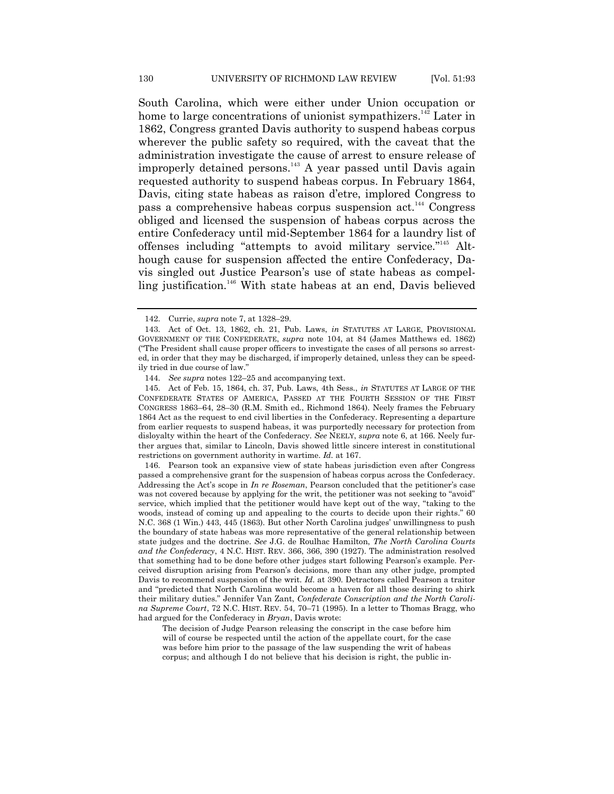South Carolina, which were either under Union occupation or home to large concentrations of unionist sympathizers.<sup>142</sup> Later in 1862, Congress granted Davis authority to suspend habeas corpus wherever the public safety so required, with the caveat that the administration investigate the cause of arrest to ensure release of improperly detained persons.<sup>143</sup> A year passed until Davis again requested authority to suspend habeas corpus. In February 1864, Davis, citing state habeas as raison d'etre, implored Congress to pass a comprehensive habeas corpus suspension act.<sup>144</sup> Congress obliged and licensed the suspension of habeas corpus across the entire Confederacy until mid-September 1864 for a laundry list of offenses including "attempts to avoid military service."<sup>145</sup> Although cause for suspension affected the entire Confederacy, Davis singled out Justice Pearson's use of state habeas as compelling justification.<sup>146</sup> With state habeas at an end, Davis believed

145. Act of Feb. 15, 1864, ch. 37, Pub. Laws, 4th Sess., *in* STATUTES AT LARGE OF THE CONFEDERATE STATES OF AMERICA, PASSED AT THE FOURTH SESSION OF THE FIRST CONGRESS 1863–64, 28–30 (R.M. Smith ed., Richmond 1864). Neely frames the February 1864 Act as the request to end civil liberties in the Confederacy. Representing a departure from earlier requests to suspend habeas, it was purportedly necessary for protection from disloyalty within the heart of the Confederacy. *See* NEELY, *supra* note 6, at 166. Neely further argues that, similar to Lincoln, Davis showed little sincere interest in constitutional restrictions on government authority in wartime. *Id.* at 167.

146. Pearson took an expansive view of state habeas jurisdiction even after Congress passed a comprehensive grant for the suspension of habeas corpus across the Confederacy. Addressing the Act's scope in *In re Roseman*, Pearson concluded that the petitioner's case was not covered because by applying for the writ, the petitioner was not seeking to "avoid" service, which implied that the petitioner would have kept out of the way, "taking to the woods, instead of coming up and appealing to the courts to decide upon their rights." 60 N.C. 368 (1 Win.) 443, 445 (1863). But other North Carolina judges' unwillingness to push the boundary of state habeas was more representative of the general relationship between state judges and the doctrine. *See* J.G. de Roulhac Hamilton, *The North Carolina Courts and the Confederacy*, 4 N.C. HIST. REV. 366, 366, 390 (1927). The administration resolved that something had to be done before other judges start following Pearson's example. Perceived disruption arising from Pearson's decisions, more than any other judge, prompted Davis to recommend suspension of the writ. *Id.* at 390. Detractors called Pearson a traitor and "predicted that North Carolina would become a haven for all those desiring to shirk their military duties.‖ Jennifer Van Zant, *Confederate Conscription and the North Carolina Supreme Court*, 72 N.C. HIST. REV. 54, 70–71 (1995). In a letter to Thomas Bragg, who had argued for the Confederacy in *Bryan*, Davis wrote:

The decision of Judge Pearson releasing the conscript in the case before him will of course be respected until the action of the appellate court, for the case was before him prior to the passage of the law suspending the writ of habeas corpus; and although I do not believe that his decision is right, the public in-

<sup>142.</sup> Currie, *supra* note 7, at 1328–29.

<sup>143.</sup> Act of Oct. 13, 1862, ch. 21, Pub. Laws, *in* STATUTES AT LARGE, PROVISIONAL GOVERNMENT OF THE CONFEDERATE, *supra* note 104, at 84 (James Matthews ed. 1862) (―The President shall cause proper officers to investigate the cases of all persons so arrested, in order that they may be discharged, if improperly detained, unless they can be speedily tried in due course of law."

<sup>144.</sup> *See supra* notes 122–25 and accompanying text.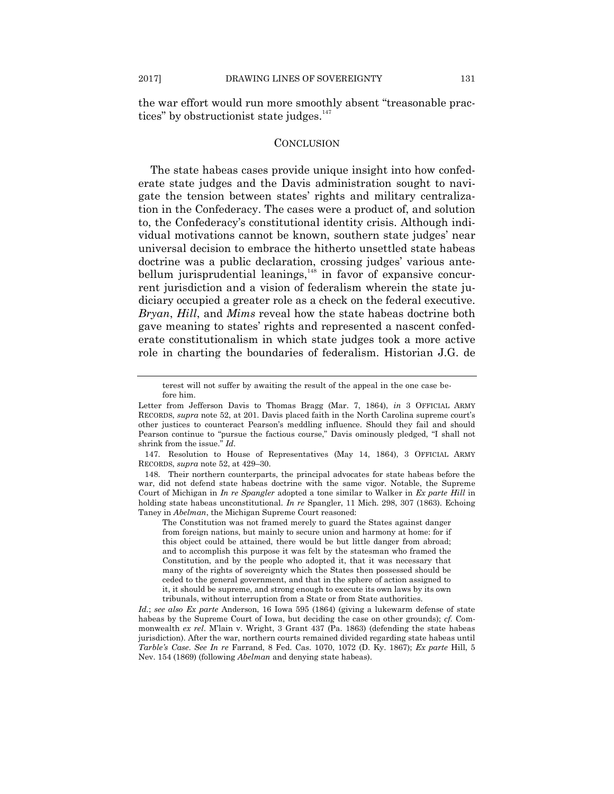the war effort would run more smoothly absent "treasonable practices" by obstructionist state judges.<sup>147</sup>

## **CONCLUSION**

The state habeas cases provide unique insight into how confederate state judges and the Davis administration sought to navigate the tension between states' rights and military centralization in the Confederacy. The cases were a product of, and solution to, the Confederacy's constitutional identity crisis. Although individual motivations cannot be known, southern state judges' near universal decision to embrace the hitherto unsettled state habeas doctrine was a public declaration, crossing judges' various antebellum jurisprudential leanings,<sup>148</sup> in favor of expansive concurrent jurisdiction and a vision of federalism wherein the state judiciary occupied a greater role as a check on the federal executive. *Bryan*, *Hill*, and *Mims* reveal how the state habeas doctrine both gave meaning to states' rights and represented a nascent confederate constitutionalism in which state judges took a more active role in charting the boundaries of federalism. Historian J.G. de

The Constitution was not framed merely to guard the States against danger from foreign nations, but mainly to secure union and harmony at home: for if this object could be attained, there would be but little danger from abroad; and to accomplish this purpose it was felt by the statesman who framed the Constitution, and by the people who adopted it, that it was necessary that many of the rights of sovereignty which the States then possessed should be ceded to the general government, and that in the sphere of action assigned to it, it should be supreme, and strong enough to execute its own laws by its own tribunals, without interruption from a State or from State authorities.

terest will not suffer by awaiting the result of the appeal in the one case before him.

Letter from Jefferson Davis to Thomas Bragg (Mar. 7, 1864), *in* 3 OFFICIAL ARMY RECORDS, *supra* note 52, at 201. Davis placed faith in the North Carolina supreme court's other justices to counteract Pearson's meddling influence. Should they fail and should Pearson continue to "pursue the factious course," Davis ominously pledged, "I shall not shrink from the issue." *Id*.

<sup>147.</sup> Resolution to House of Representatives (May 14, 1864), 3 OFFICIAL ARMY RECORDS, *supra* note 52, at 429–30.

<sup>148.</sup> Their northern counterparts, the principal advocates for state habeas before the war, did not defend state habeas doctrine with the same vigor. Notable, the Supreme Court of Michigan in *In re Spangler* adopted a tone similar to Walker in *Ex parte Hill* in holding state habeas unconstitutional. *In re* Spangler, 11 Mich. 298, 307 (1863). Echoing Taney in *Abelman*, the Michigan Supreme Court reasoned:

*Id.*; *see also Ex parte* Anderson, 16 Iowa 595 (1864) (giving a lukewarm defense of state habeas by the Supreme Court of Iowa, but deciding the case on other grounds); *cf.* Commonwealth *ex rel*. M'lain v. Wright, 3 Grant 437 (Pa. 1863) (defending the state habeas jurisdiction). After the war, northern courts remained divided regarding state habeas until *Tarble's Case*. *See In re* Farrand, 8 Fed. Cas. 1070, 1072 (D. Ky. 1867); *Ex parte* Hill, 5 Nev. 154 (1869) (following *Abelman* and denying state habeas).